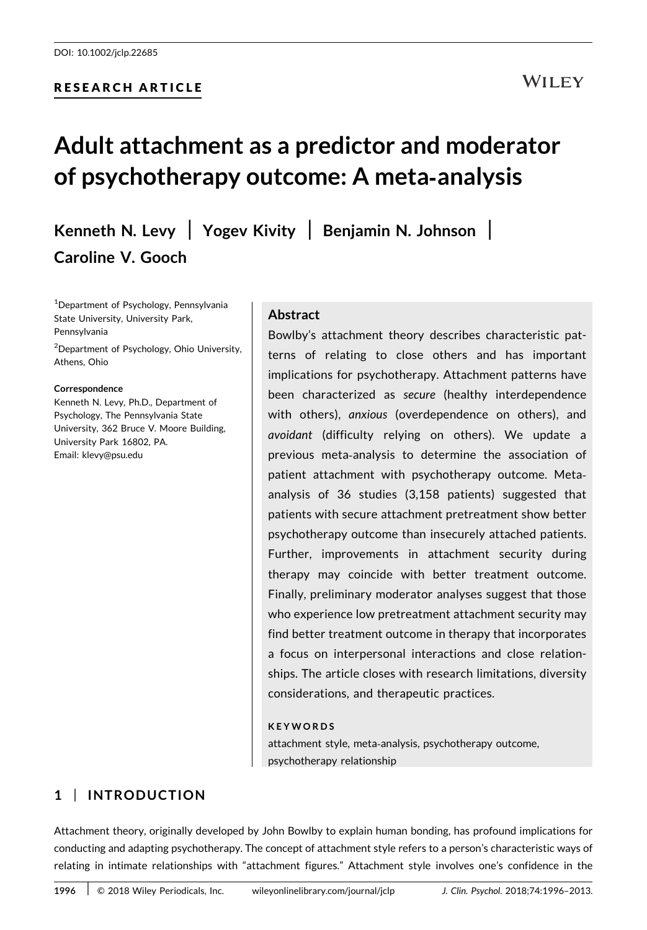#### RESEARCH ARTICLE

# Adult attachment as a predictor and moderator of psychotherapy outcome: A meta‐analysis

Kenneth N. Levy | Yogev Kivity | Benjamin N. Johnson | Caroline V. Gooch

1 Department of Psychology, Pennsylvania State University, University Park, Pennsylvania

<sup>2</sup>Department of Psychology, Ohio University, Athens, Ohio

#### **Correspondence**

Kenneth N. Levy, Ph.D., Department of Psychology, The Pennsylvania State University, 362 Bruce V. Moore Building, University Park 16802, PA. Email: klevy@psu.edu

#### Abstract

Bowlby's attachment theory describes characteristic patterns of relating to close others and has important implications for psychotherapy. Attachment patterns have been characterized as secure (healthy interdependence with others), anxious (overdependence on others), and avoidant (difficulty relying on others). We update a previous meta‐analysis to determine the association of patient attachment with psychotherapy outcome. Metaanalysis of 36 studies (3,158 patients) suggested that patients with secure attachment pretreatment show better psychotherapy outcome than insecurely attached patients. Further, improvements in attachment security during therapy may coincide with better treatment outcome. Finally, preliminary moderator analyses suggest that those who experience low pretreatment attachment security may find better treatment outcome in therapy that incorporates a focus on interpersonal interactions and close relationships. The article closes with research limitations, diversity considerations, and therapeutic practices.

#### KEYWORDS

attachment style, meta‐analysis, psychotherapy outcome, psychotherapy relationship

### 1 | INTRODUCTION

Attachment theory, originally developed by John Bowlby to explain human bonding, has profound implications for conducting and adapting psychotherapy. The concept of attachment style refers to a person's characteristic ways of relating in intimate relationships with "attachment figures." Attachment style involves one's confidence in the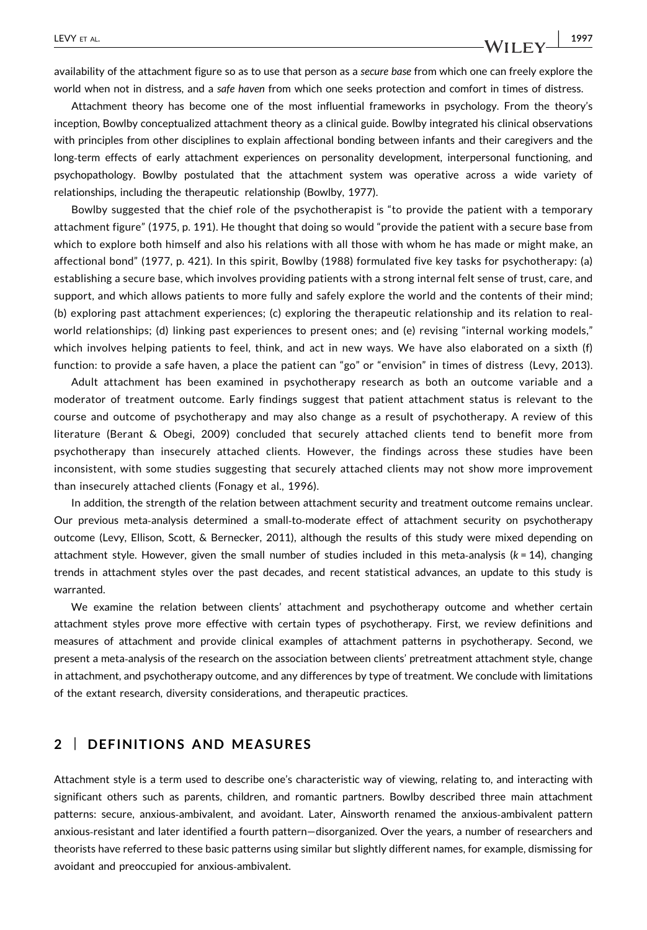availability of the attachment figure so as to use that person as a secure base from which one can freely explore the

Attachment theory has become one of the most influential frameworks in psychology. From the theory's inception, Bowlby conceptualized attachment theory as a clinical guide. Bowlby integrated his clinical observations with principles from other disciplines to explain affectional bonding between infants and their caregivers and the long‐term effects of early attachment experiences on personality development, interpersonal functioning, and psychopathology. Bowlby postulated that the attachment system was operative across a wide variety of relationships, including the therapeutic relationship (Bowlby, 1977).

world when not in distress, and a safe haven from which one seeks protection and comfort in times of distress.

Bowlby suggested that the chief role of the psychotherapist is "to provide the patient with a temporary attachment figure" (1975, p. 191). He thought that doing so would "provide the patient with a secure base from which to explore both himself and also his relations with all those with whom he has made or might make, an affectional bond" (1977, p. 421). In this spirit, Bowlby (1988) formulated five key tasks for psychotherapy: (a) establishing a secure base, which involves providing patients with a strong internal felt sense of trust, care, and support, and which allows patients to more fully and safely explore the world and the contents of their mind; (b) exploring past attachment experiences; (c) exploring the therapeutic relationship and its relation to real‐ world relationships; (d) linking past experiences to present ones; and (e) revising "internal working models," which involves helping patients to feel, think, and act in new ways. We have also elaborated on a sixth (f) function: to provide a safe haven, a place the patient can "go" or "envision" in times of distress (Levy, 2013).

Adult attachment has been examined in psychotherapy research as both an outcome variable and a moderator of treatment outcome. Early findings suggest that patient attachment status is relevant to the course and outcome of psychotherapy and may also change as a result of psychotherapy. A review of this literature (Berant & Obegi, 2009) concluded that securely attached clients tend to benefit more from psychotherapy than insecurely attached clients. However, the findings across these studies have been inconsistent, with some studies suggesting that securely attached clients may not show more improvement than insecurely attached clients (Fonagy et al., 1996).

In addition, the strength of the relation between attachment security and treatment outcome remains unclear. Our previous meta‐analysis determined a small‐to‐moderate effect of attachment security on psychotherapy outcome (Levy, Ellison, Scott, & Bernecker, 2011), although the results of this study were mixed depending on attachment style. However, given the small number of studies included in this meta-analysis ( $k = 14$ ), changing trends in attachment styles over the past decades, and recent statistical advances, an update to this study is warranted.

We examine the relation between clients' attachment and psychotherapy outcome and whether certain attachment styles prove more effective with certain types of psychotherapy. First, we review definitions and measures of attachment and provide clinical examples of attachment patterns in psychotherapy. Second, we present a meta‐analysis of the research on the association between clients' pretreatment attachment style, change in attachment, and psychotherapy outcome, and any differences by type of treatment. We conclude with limitations of the extant research, diversity considerations, and therapeutic practices.

#### 2 | DEFINITIONS AND MEASURES

Attachment style is a term used to describe one's characteristic way of viewing, relating to, and interacting with significant others such as parents, children, and romantic partners. Bowlby described three main attachment patterns: secure, anxious‐ambivalent, and avoidant. Later, Ainsworth renamed the anxious‐ambivalent pattern anxious‐resistant and later identified a fourth pattern—disorganized. Over the years, a number of researchers and theorists have referred to these basic patterns using similar but slightly different names, for example, dismissing for avoidant and preoccupied for anxious‐ambivalent.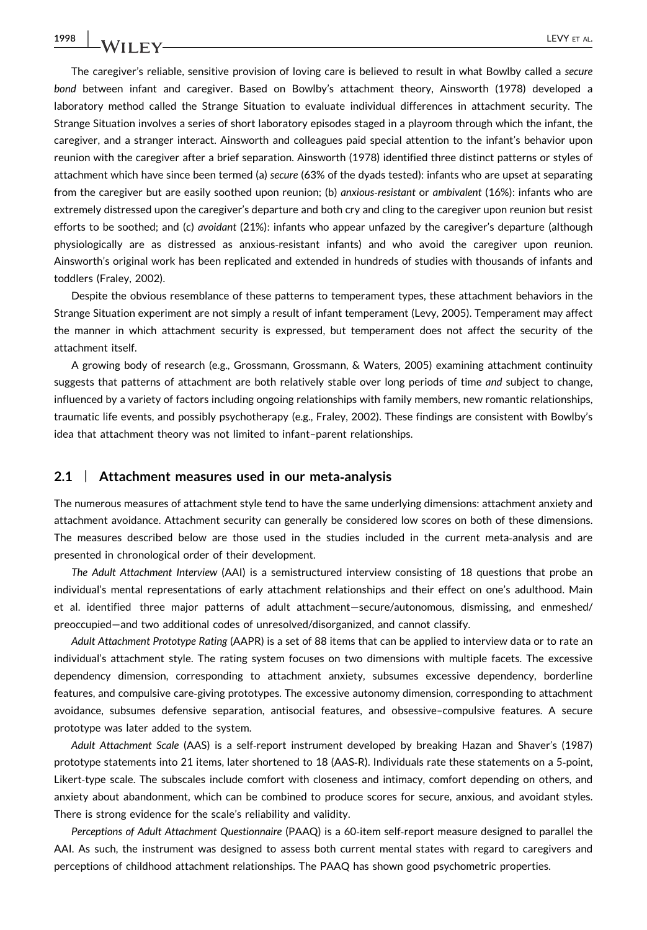The caregiver's reliable, sensitive provision of loving care is believed to result in what Bowlby called a secure bond between infant and caregiver. Based on Bowlby's attachment theory, Ainsworth (1978) developed a laboratory method called the Strange Situation to evaluate individual differences in attachment security. The Strange Situation involves a series of short laboratory episodes staged in a playroom through which the infant, the caregiver, and a stranger interact. Ainsworth and colleagues paid special attention to the infant's behavior upon reunion with the caregiver after a brief separation. Ainsworth (1978) identified three distinct patterns or styles of attachment which have since been termed (a) secure (63% of the dyads tested): infants who are upset at separating from the caregiver but are easily soothed upon reunion; (b) anxious-resistant or ambivalent (16%): infants who are extremely distressed upon the caregiver's departure and both cry and cling to the caregiver upon reunion but resist efforts to be soothed; and (c) avoidant (21%): infants who appear unfazed by the caregiver's departure (although physiologically are as distressed as anxious‐resistant infants) and who avoid the caregiver upon reunion. Ainsworth's original work has been replicated and extended in hundreds of studies with thousands of infants and toddlers (Fraley, 2002).

Despite the obvious resemblance of these patterns to temperament types, these attachment behaviors in the Strange Situation experiment are not simply a result of infant temperament (Levy, 2005). Temperament may affect the manner in which attachment security is expressed, but temperament does not affect the security of the attachment itself.

A growing body of research (e.g., Grossmann, Grossmann, & Waters, 2005) examining attachment continuity suggests that patterns of attachment are both relatively stable over long periods of time and subject to change, influenced by a variety of factors including ongoing relationships with family members, new romantic relationships, traumatic life events, and possibly psychotherapy (e.g., Fraley, 2002). These findings are consistent with Bowlby's idea that attachment theory was not limited to infant–parent relationships.

#### 2.1 | Attachment measures used in our meta-analysis

The numerous measures of attachment style tend to have the same underlying dimensions: attachment anxiety and attachment avoidance. Attachment security can generally be considered low scores on both of these dimensions. The measures described below are those used in the studies included in the current meta‐analysis and are presented in chronological order of their development.

The Adult Attachment Interview (AAI) is a semistructured interview consisting of 18 questions that probe an individual's mental representations of early attachment relationships and their effect on one's adulthood. Main et al. identified three major patterns of adult attachment—secure/autonomous, dismissing, and enmeshed/ preoccupied—and two additional codes of unresolved/disorganized, and cannot classify.

Adult Attachment Prototype Rating (AAPR) is a set of 88 items that can be applied to interview data or to rate an individual's attachment style. The rating system focuses on two dimensions with multiple facets. The excessive dependency dimension, corresponding to attachment anxiety, subsumes excessive dependency, borderline features, and compulsive care‐giving prototypes. The excessive autonomy dimension, corresponding to attachment avoidance, subsumes defensive separation, antisocial features, and obsessive–compulsive features. A secure prototype was later added to the system.

Adult Attachment Scale (AAS) is a self‐report instrument developed by breaking Hazan and Shaver's (1987) prototype statements into 21 items, later shortened to 18 (AAS‐R). Individuals rate these statements on a 5‐point, Likert‐type scale. The subscales include comfort with closeness and intimacy, comfort depending on others, and anxiety about abandonment, which can be combined to produce scores for secure, anxious, and avoidant styles. There is strong evidence for the scale's reliability and validity.

Perceptions of Adult Attachment Questionnaire (PAAQ) is a 60‐item self‐report measure designed to parallel the AAI. As such, the instrument was designed to assess both current mental states with regard to caregivers and perceptions of childhood attachment relationships. The PAAQ has shown good psychometric properties.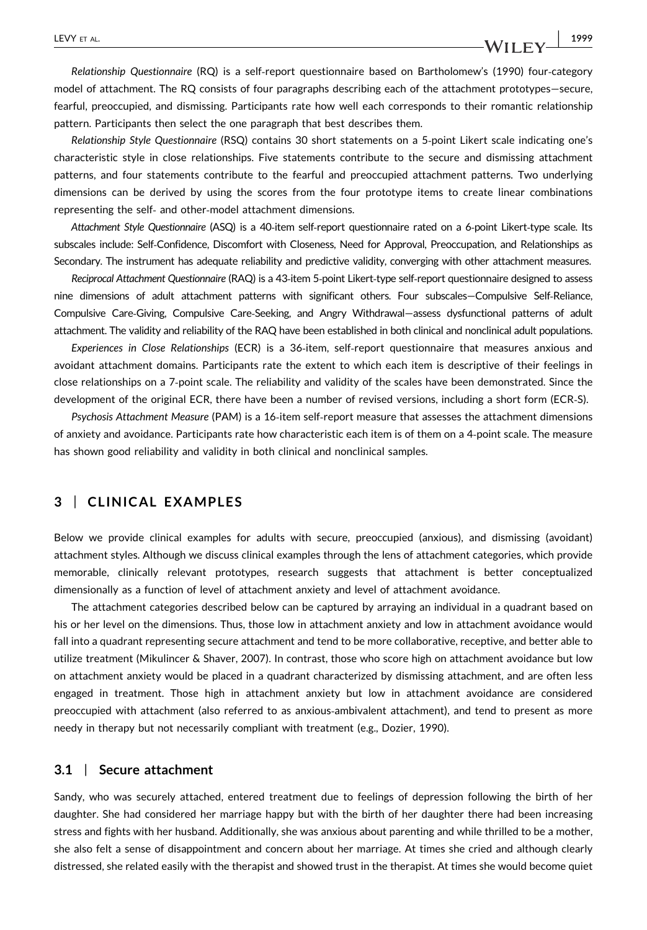#### LEVY ET AL.  $\begin{array}{|c|c|c|c|c|c|}\hline \text{L2V} & \text{1999} \\\hline \end{array}$

Relationship Questionnaire (RQ) is a self‐report questionnaire based on Bartholomew's (1990) four‐category model of attachment. The RQ consists of four paragraphs describing each of the attachment prototypes—secure, fearful, preoccupied, and dismissing. Participants rate how well each corresponds to their romantic relationship pattern. Participants then select the one paragraph that best describes them.

Relationship Style Questionnaire (RSQ) contains 30 short statements on a 5‐point Likert scale indicating one's characteristic style in close relationships. Five statements contribute to the secure and dismissing attachment patterns, and four statements contribute to the fearful and preoccupied attachment patterns. Two underlying dimensions can be derived by using the scores from the four prototype items to create linear combinations representing the self‐ and other‐model attachment dimensions.

Attachment Style Questionnaire (ASQ) is a 40‐item self‐report questionnaire rated on a 6‐point Likert‐type scale. Its subscales include: Self‐Confidence, Discomfort with Closeness, Need for Approval, Preoccupation, and Relationships as Secondary. The instrument has adequate reliability and predictive validity, converging with other attachment measures.

Reciprocal Attachment Questionnaire (RAQ) is a 43‐item 5‐point Likert‐type self‐report questionnaire designed to assess nine dimensions of adult attachment patterns with significant others. Four subscales—Compulsive Self‐Reliance, Compulsive Care‐Giving, Compulsive Care‐Seeking, and Angry Withdrawal—assess dysfunctional patterns of adult attachment. The validity and reliability of the RAQ have been established in both clinical and nonclinical adult populations.

Experiences in Close Relationships (ECR) is a 36‐item, self‐report questionnaire that measures anxious and avoidant attachment domains. Participants rate the extent to which each item is descriptive of their feelings in close relationships on a 7‐point scale. The reliability and validity of the scales have been demonstrated. Since the development of the original ECR, there have been a number of revised versions, including a short form (ECR‐S).

Psychosis Attachment Measure (PAM) is a 16‐item self‐report measure that assesses the attachment dimensions of anxiety and avoidance. Participants rate how characteristic each item is of them on a 4‐point scale. The measure has shown good reliability and validity in both clinical and nonclinical samples.

#### 3 | CLINICAL EXAMPLES

Below we provide clinical examples for adults with secure, preoccupied (anxious), and dismissing (avoidant) attachment styles. Although we discuss clinical examples through the lens of attachment categories, which provide memorable, clinically relevant prototypes, research suggests that attachment is better conceptualized dimensionally as a function of level of attachment anxiety and level of attachment avoidance.

The attachment categories described below can be captured by arraying an individual in a quadrant based on his or her level on the dimensions. Thus, those low in attachment anxiety and low in attachment avoidance would fall into a quadrant representing secure attachment and tend to be more collaborative, receptive, and better able to utilize treatment (Mikulincer & Shaver, 2007). In contrast, those who score high on attachment avoidance but low on attachment anxiety would be placed in a quadrant characterized by dismissing attachment, and are often less engaged in treatment. Those high in attachment anxiety but low in attachment avoidance are considered preoccupied with attachment (also referred to as anxious-ambivalent attachment), and tend to present as more needy in therapy but not necessarily compliant with treatment (e.g., Dozier, 1990).

#### 3.1 | Secure attachment

Sandy, who was securely attached, entered treatment due to feelings of depression following the birth of her daughter. She had considered her marriage happy but with the birth of her daughter there had been increasing stress and fights with her husband. Additionally, she was anxious about parenting and while thrilled to be a mother, she also felt a sense of disappointment and concern about her marriage. At times she cried and although clearly distressed, she related easily with the therapist and showed trust in the therapist. At times she would become quiet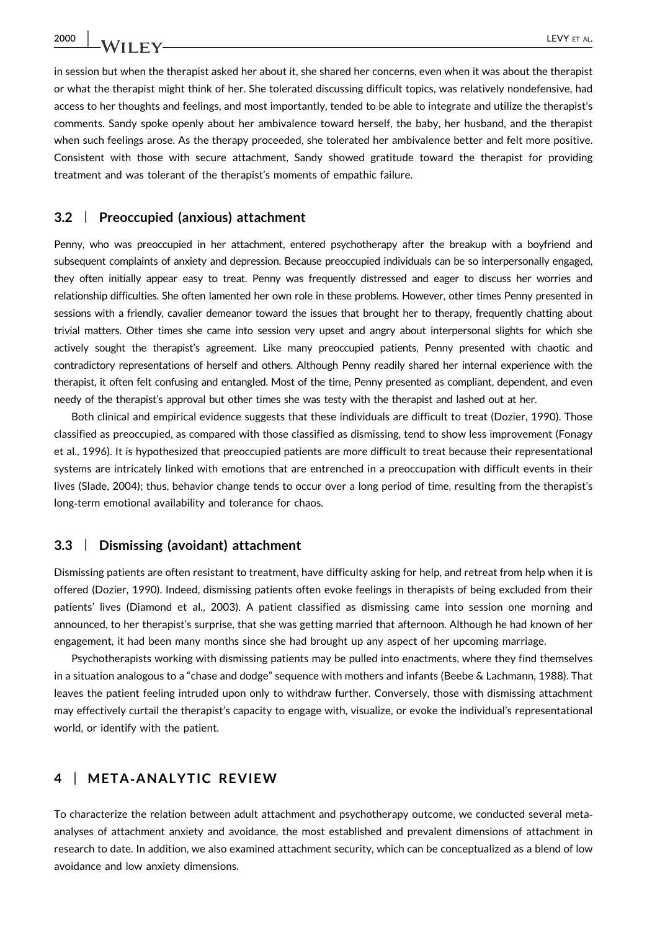2000 | **LA/IIF** V

in session but when the therapist asked her about it, she shared her concerns, even when it was about the therapist or what the therapist might think of her. She tolerated discussing difficult topics, was relatively nondefensive, had access to her thoughts and feelings, and most importantly, tended to be able to integrate and utilize the therapist's comments. Sandy spoke openly about her ambivalence toward herself, the baby, her husband, and the therapist when such feelings arose. As the therapy proceeded, she tolerated her ambivalence better and felt more positive. Consistent with those with secure attachment, Sandy showed gratitude toward the therapist for providing treatment and was tolerant of the therapist's moments of empathic failure.

#### 3.2 | Preoccupied (anxious) attachment

Penny, who was preoccupied in her attachment, entered psychotherapy after the breakup with a boyfriend and subsequent complaints of anxiety and depression. Because preoccupied individuals can be so interpersonally engaged, they often initially appear easy to treat. Penny was frequently distressed and eager to discuss her worries and relationship difficulties. She often lamented her own role in these problems. However, other times Penny presented in sessions with a friendly, cavalier demeanor toward the issues that brought her to therapy, frequently chatting about trivial matters. Other times she came into session very upset and angry about interpersonal slights for which she actively sought the therapist's agreement. Like many preoccupied patients, Penny presented with chaotic and contradictory representations of herself and others. Although Penny readily shared her internal experience with the therapist, it often felt confusing and entangled. Most of the time, Penny presented as compliant, dependent, and even needy of the therapist's approval but other times she was testy with the therapist and lashed out at her.

Both clinical and empirical evidence suggests that these individuals are difficult to treat (Dozier, 1990). Those classified as preoccupied, as compared with those classified as dismissing, tend to show less improvement (Fonagy et al., 1996). It is hypothesized that preoccupied patients are more difficult to treat because their representational systems are intricately linked with emotions that are entrenched in a preoccupation with difficult events in their lives (Slade, 2004); thus, behavior change tends to occur over a long period of time, resulting from the therapist's long-term emotional availability and tolerance for chaos.

#### 3.3 | Dismissing (avoidant) attachment

Dismissing patients are often resistant to treatment, have difficulty asking for help, and retreat from help when it is offered (Dozier, 1990). Indeed, dismissing patients often evoke feelings in therapists of being excluded from their patients' lives (Diamond et al., 2003). A patient classified as dismissing came into session one morning and announced, to her therapist's surprise, that she was getting married that afternoon. Although he had known of her engagement, it had been many months since she had brought up any aspect of her upcoming marriage.

Psychotherapists working with dismissing patients may be pulled into enactments, where they find themselves in a situation analogous to a "chase and dodge" sequence with mothers and infants (Beebe & Lachmann, 1988). That leaves the patient feeling intruded upon only to withdraw further. Conversely, those with dismissing attachment may effectively curtail the therapist's capacity to engage with, visualize, or evoke the individual's representational world, or identify with the patient.

#### 4 | META‐ANALYTIC REVIEW

To characterize the relation between adult attachment and psychotherapy outcome, we conducted several meta‐ analyses of attachment anxiety and avoidance, the most established and prevalent dimensions of attachment in research to date. In addition, we also examined attachment security, which can be conceptualized as a blend of low avoidance and low anxiety dimensions.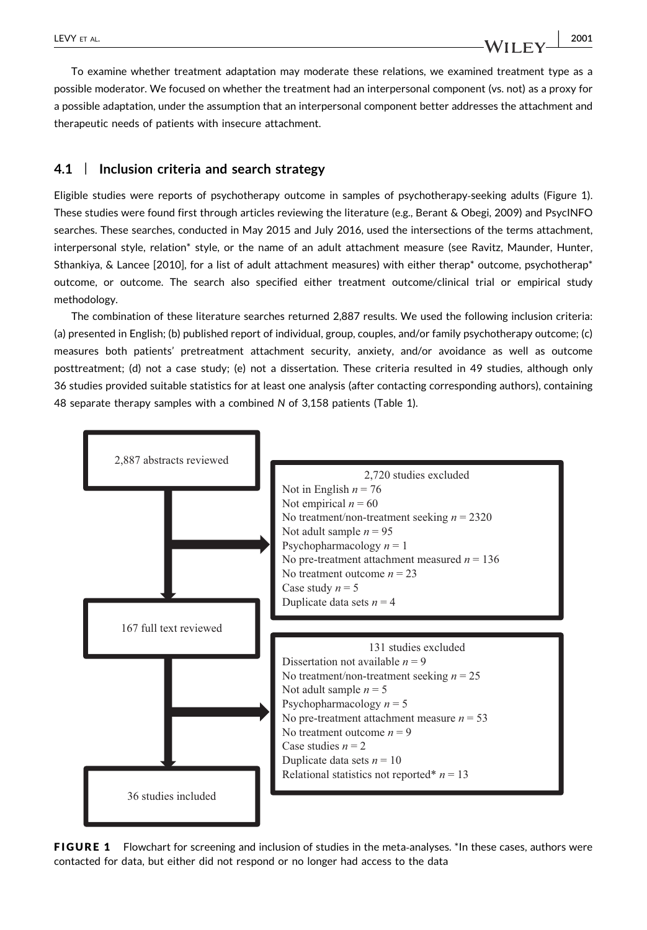To examine whether treatment adaptation may moderate these relations, we examined treatment type as a possible moderator. We focused on whether the treatment had an interpersonal component (vs. not) as a proxy for a possible adaptation, under the assumption that an interpersonal component better addresses the attachment and therapeutic needs of patients with insecure attachment.

#### 4.1 | Inclusion criteria and search strategy

Eligible studies were reports of psychotherapy outcome in samples of psychotherapy‐seeking adults (Figure 1). These studies were found first through articles reviewing the literature (e.g., Berant & Obegi, 2009) and PsycINFO searches. These searches, conducted in May 2015 and July 2016, used the intersections of the terms attachment, interpersonal style, relation\* style, or the name of an adult attachment measure (see Ravitz, Maunder, Hunter, Sthankiya, & Lancee [2010], for a list of adult attachment measures) with either therap\* outcome, psychotherap\* outcome, or outcome. The search also specified either treatment outcome/clinical trial or empirical study methodology.

The combination of these literature searches returned 2,887 results. We used the following inclusion criteria: (a) presented in English; (b) published report of individual, group, couples, and/or family psychotherapy outcome; (c) measures both patients' pretreatment attachment security, anxiety, and/or avoidance as well as outcome posttreatment; (d) not a case study; (e) not a dissertation. These criteria resulted in 49 studies, although only 36 studies provided suitable statistics for at least one analysis (after contacting corresponding authors), containing 48 separate therapy samples with a combined N of 3,158 patients (Table 1).



FIGURE 1 Flowchart for screening and inclusion of studies in the meta-analyses. \*In these cases, authors were contacted for data, but either did not respond or no longer had access to the data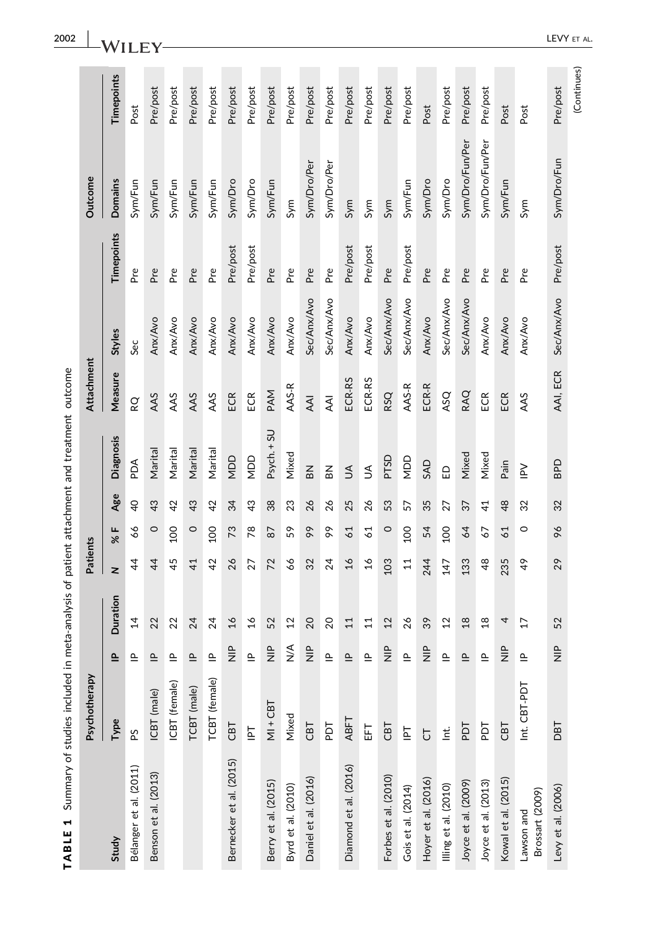| <b>THART</b>                  | The Music of the Music of the Music of the Music of the Music of the Music of the Music of the Music of the Music of the Music of the Music of the Music of the Music of the Music of the Music of the Music of the Music of t |                                      |                 |                 |                |                | Illication of the control of the state of the control of the control of the control of the control of the control of the control of the control of the control of the control of the control of the control of the control of |            |             |            |                 |             |
|-------------------------------|--------------------------------------------------------------------------------------------------------------------------------------------------------------------------------------------------------------------------------|--------------------------------------|-----------------|-----------------|----------------|----------------|-------------------------------------------------------------------------------------------------------------------------------------------------------------------------------------------------------------------------------|------------|-------------|------------|-----------------|-------------|
|                               | Psychotherapy                                                                                                                                                                                                                  |                                      |                 | Patients        |                |                |                                                                                                                                                                                                                               | Attachment |             |            | Outcome         |             |
| Study                         | Type                                                                                                                                                                                                                           | $\triangleq$                         | Duration        | z               | % F            | Age            | <b>Diagnosis</b>                                                                                                                                                                                                              | Measure    | Styles      | Timepoints | Domains         | Timepoints  |
| Bélanger et al. (2011)        | ΡŚ                                                                                                                                                                                                                             | $\triangleq$                         | $\overline{1}$  | $\overline{4}$  | 99             | $\overline{6}$ | РOЧ                                                                                                                                                                                                                           | RQ         | Sec         | Pre        | Sym/Fun         | Post        |
| Benson et al. (2013)          | ICBT (male)                                                                                                                                                                                                                    | $\triangleq$                         | 22              | $\overline{4}$  | $\circ$        | 43             | Marital                                                                                                                                                                                                                       | AAS        | Anx/Avo     | Pre        | Sym/Fun         | Pre/post    |
|                               | ICBT (female)                                                                                                                                                                                                                  | $\mathbf{\underline{\circ}}$         | 22              | 45              | $^{100}$       | 42             | Marital                                                                                                                                                                                                                       | AAS        | Anx/Avo     | P.<br>Pre  | Sym/Fun         | Pre/post    |
|                               | TCBT (male)                                                                                                                                                                                                                    | $\triangleq$                         | 24              | $\overline{4}$  | $\circ$        | 43             | Marital                                                                                                                                                                                                                       | AAS        | Anx/Avo     | Pre        | Sym/Fun         | Pre/post    |
|                               | TCBT (female)                                                                                                                                                                                                                  | $\triangleq$                         | 24              | 42              | 100            | 42             | Marital                                                                                                                                                                                                                       | AAS        | Anx/Avo     | Pre        | Sym/Fun         | Pre/post    |
| Bernecker et al. (2015)       | CBT                                                                                                                                                                                                                            | $\frac{P}{Z}$                        | 16              | 26              | 73             | 34             | NDD                                                                                                                                                                                                                           | ECR        | Anx/Avo     | Pre/post   | Sym/Dro         | Pre/post    |
|                               | $\overline{\Xi}$                                                                                                                                                                                                               | $\triangleq$                         | $\frac{6}{1}$   | 27              | 78             | 43             | <b>ADD</b>                                                                                                                                                                                                                    | ECR        | Anx/Avo     | Pre/post   | Sym/Dro         | Pre/post    |
| Berry et al. (2015)           | $MI + CBT$                                                                                                                                                                                                                     | $\frac{P}{Z}$                        | 52              | 72              | 87             | 38             | Psych. + SU                                                                                                                                                                                                                   | PAM        | Anx/Avo     | Pre        | Sym/Fun         | Pre/post    |
| Byrd et al. (2010)            | Mixed                                                                                                                                                                                                                          | $\sum_{i=1}^{n}$                     | 12              | 66              | 59             | 23             | Mixed                                                                                                                                                                                                                         | AAS-R      | Anx/Avo     | Pre        | Sym             | Pre/post    |
| Daniel et al. (2016)          | CBT                                                                                                                                                                                                                            | $\frac{p}{Z}$                        | 20              | 32              | 99             | 26             | $\mathsf{B}$                                                                                                                                                                                                                  | <b>AAI</b> | Sec/Anx/Avo | Pre        | Sym/Dro/Per     | Pre/post    |
|                               | Ъd                                                                                                                                                                                                                             | $\triangleq$                         | 20              | 24              | 66             | 26             | $\mathsf{B}^{\mathsf{K}}$                                                                                                                                                                                                     | <b>AAI</b> | Sec/Anx/Avo | Pre        | Sym/Dro/Per     | Pre/post    |
| Diamond et al. (2016)         | ABFT                                                                                                                                                                                                                           | $\mathbf{\underline{\underline{o}}}$ | 11              | $\frac{6}{2}$   | 61             | 25             | $\leq$                                                                                                                                                                                                                        | ECR-RS     | Anx/Avo     | Pre/post   | Sym             | Pre/post    |
|                               | 岳                                                                                                                                                                                                                              | $\triangleq$                         | 11              | $\frac{6}{2}$   | $\overline{6}$ | 26             | S                                                                                                                                                                                                                             | ECR-RS     | Anx/Avo     | Pre/post   | Sym             | Pre/post    |
| Forbes et al. (2010)          | CBT                                                                                                                                                                                                                            | $\frac{P}{Z}$                        | 12              | 103             | $\circ$        | 53             | PTSD                                                                                                                                                                                                                          | RSQ        | Sec/Anx/Avo | Pre        | Sym             | Pre/post    |
| Gois et al. (2014)            | $\overline{5}$                                                                                                                                                                                                                 | $\triangleq$                         | 26              | $\overline{11}$ | 100            | 57             | <b>UOD</b>                                                                                                                                                                                                                    | AAS-R      | Sec/Anx/Avo | Pre/post   | Sym/Fun         | Pre/post    |
| Hoyer et al. (2016)           | $\overline{C}$                                                                                                                                                                                                                 | $\frac{P}{Z}$                        | 39              | 244             | 54             | 35             | <b>GAD</b>                                                                                                                                                                                                                    | ECR-R      | Anx/Avo     | Pre        | Sym/Dro         | Post        |
| Illing et al. (2010)          | $\mathop{\text{Li}}$                                                                                                                                                                                                           | $\triangleq$                         | 12              | 147             | 100            | 27             | ED                                                                                                                                                                                                                            | ASQ        | Sec/Anx/Avo | Pre        | Sym/Dro         | Pre/post    |
| Joyce et al. (2009)           | <b>LGd</b>                                                                                                                                                                                                                     | $\triangleq$                         | 18              | 133             | 64             | 37             | Mixed                                                                                                                                                                                                                         | RAQ        | Sec/Anx/Avo | Pre        | Sym/Dro/Fun/Per | Pre/post    |
| Joyce et al. (2013)           | TGd                                                                                                                                                                                                                            | $\triangleq$                         | $\frac{8}{1}$   | 48              | 57             | $\overline{4}$ | Mixed                                                                                                                                                                                                                         | ECR        | Anx/Avo     | Pre        | Sym/Dro/Fun/Per | Pre/post    |
| Kowal et al. (2015)           | CBT                                                                                                                                                                                                                            | $\frac{P}{Z}$                        | 4               | 235             | 61             | 48             | Pain                                                                                                                                                                                                                          | ECR        | Anx/Avo     | Pre        | Sym/Fun         | Post        |
| Brossart (2009)<br>Lawson and | Int. CBT-PDT                                                                                                                                                                                                                   | $\triangleq$                         | $\overline{17}$ | 49              | $\circ$        | 32             | $\geq$                                                                                                                                                                                                                        | AAS        | Anx/Avo     | Pre        | Sym             | Post        |
| Levy et al. (2006)            | <b>TBO</b>                                                                                                                                                                                                                     | $\frac{P}{Z}$                        | 52              | 29              | 96             | 32             | OdB                                                                                                                                                                                                                           | AAI, ECR   | Sec/Anx/Avo | Pre/post   | Sym/Dro/Fun     | Pre/post    |
|                               |                                                                                                                                                                                                                                |                                      |                 |                 |                |                |                                                                                                                                                                                                                               |            |             |            |                 | (Continues) |

TABLE 1 Summary of studies included in meta-analysis of patient attachment and treatment outcome TABLE 1 Summary of studies included in meta‐analysis of patient attachment and treatment outcome

2002 -WILEY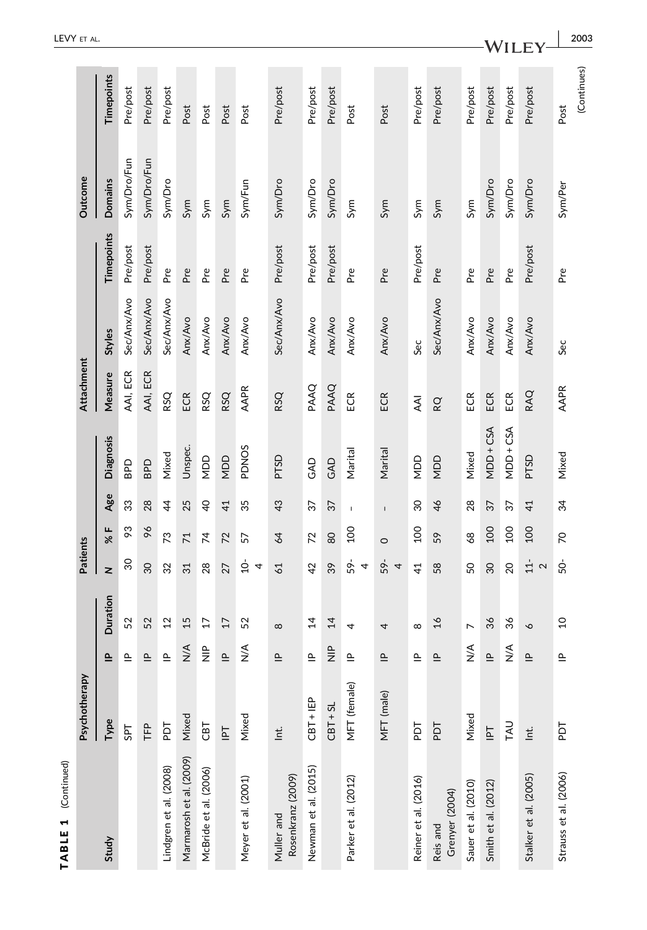| (Continued)<br>TABLE 1          |                                              |                       |                 |                                  |                |                 |                  |            |             |                   |                |                     |
|---------------------------------|----------------------------------------------|-----------------------|-----------------|----------------------------------|----------------|-----------------|------------------|------------|-------------|-------------------|----------------|---------------------|
|                                 | Psychotherapy                                |                       |                 | Patients                         |                |                 |                  | Attachment |             |                   | Outcome        |                     |
| Study                           | Type                                         | $\mathbf{r}$          | Duration        | $\geq$                           | щ<br>ৼ         | Age             | <b>Diagnosis</b> | Measure    | Styles      | <b>Timepoints</b> | <b>Domains</b> | Timepoints          |
|                                 | SPT                                          | $\mathbf{r}$          | 52              | $\infty$                         | 93             | 33              | <b>Gdg</b>       | AAI, ECR   | Sec/Anx/Avo | Pre/post          | Sym/Dro/Fun    | Pre/post            |
|                                 | ΤFΡ                                          | $\mathbf{r}$          | 52              | $\overline{30}$                  | 96             | 28              | <b>GdB</b>       | AAI, ECR   | Sec/Anx/Avo | Pre/post          | Sym/Dro/Fun    | Pre/post            |
| Lindgren et al. (2008)          | FOR                                          | $\mathbf{r}$          | $^{12}$         | 32                               | 73             | $\overline{4}$  | Mixed            | RSQ        | Sec/Anx/Avo | Pre               | Sym/Dro        | Pre/post            |
| Marmarosh et al. (2009)         | Mixed                                        | $\leq$                | 15              | 31                               | 71             | 25              | Unspec.          | ECR        | Anx/Avo     | Pre               | Sym            | Post                |
| McBride et al. (2006)           | CBT                                          | $\frac{a}{7}$         | $\overline{17}$ | 28                               | $\overline{7}$ | $\overline{a}$  | <b>UON</b>       | RSQ        | Anx/Avo     | Pre               | Sym            | Post                |
|                                 | $\overline{\Xi}$                             | $\Delta$              | $\overline{17}$ | 27                               | 72             | $\overline{41}$ | <b>UON</b>       | RSQ        | Anx/Avo     | Pre               | Sym            | Post                |
| Meyer et al. (2001)             | Mixed                                        | $\frac{4}{5}$         | 52              | $\overline{a}$<br>$\overline{4}$ | 57             | 35              | <b>PDNOS</b>     | AAPR       | Anx/Avo     | Pre               | Sym/Fun        | Post                |
| Rosenkranz (2009)<br>Muller and | $\ensuremath{\underline{\mathsf{t}}}\xspace$ | $\mathbf{r}$          | $\infty$        | 61                               | 64             | 43              | PTSD             | RSQ        | Sec/Anx/Avo | Pre/post          | Sym/Dro        | Pre/post            |
| Newman et al. (2015)            | $CBT + IEP$                                  | ௨                     | $\overline{4}$  | 42                               | 72             | 37              | GAD              | PAAQ       | Anx/Avo     | Pre/post          | Sym/Dro        | Pre/post            |
|                                 | $CBT + SL$                                   | $\frac{a}{z}$         | 14              | 39                               | 80             | 37              | GAD              | PAAQ       | Anx/Avo     | Pre/post          | Sym/Dro        | Pre/post            |
| Parker et al. (2012)            | MFT (female)                                 | $\mathbf{r}$          | 4               | 59-<br>4                         | <b>200</b>     | $\mathsf I$     | Marital          | ECR        | Anx/Avo     | Pre               | Sym            | Post                |
|                                 | MFT (male)                                   | $\mathtt{\mathtt{a}}$ | 4               | 59-<br>4                         | $\circ$        | $\mathsf I$     | Marital          | ECR        | Anx/Avo     | Pre               | Sym            | Post                |
| Reiner et al. (2016)            | Ъq                                           | $\mathbf{r}$          | $\infty$        | $\overline{4}$                   | 100            | $\infty$        | NDD              | <b>AAI</b> | Sec         | Pre/post          | Sym            | Pre/post            |
| Grenyer (2004)<br>Reis and      | PDT                                          | $\mathbf{r}$          | $\frac{1}{6}$   | 58                               | 59             | 46              | NDD              | RQ         | Sec/Anx/Avo | Pre               | Sym            | Pre/post            |
| Sauer et al. (2010)             | Mixed                                        | $\frac{4}{5}$         | $\overline{ }$  | SO                               | 68             | 28              | Mixed            | ECR        | Anx/Avo     | Pre               | Sym            | Pre/post            |
| Smith et al. (2012)             | $\overline{\mathbb{F}}$                      | $\Delta$              | 36              | 30                               | 100            | 37              | MDD+CSA          | ECR        | Anx/Avo     | Pre               | Sym/Dro        | Pre/post            |
|                                 | TAU                                          | $\frac{4}{5}$         | 36              | 20                               | 100            | 57              | MDD+CSA          | ECR        | Anx/Avo     | Pre               | Sym/Dro        | Pre/post            |
| Stalker et al. (2005)           | $\mathop{\underline{t}}$                     | $\Delta$              | P               | $11-$<br>$\sim$                  | 100            | 41              | PTSD             | RAQ        | Anx/Avo     | Pre/post          | Sym/Dro        | Pre/post            |
| Strauss et al. (2006)           | ГQd                                          | $\mathbf{r}$          | $\overline{c}$  | 50-                              | 20             | 34              | Mixed            | AAPR       | Sec         | Pre               | Sym/Per        | (Continues)<br>Post |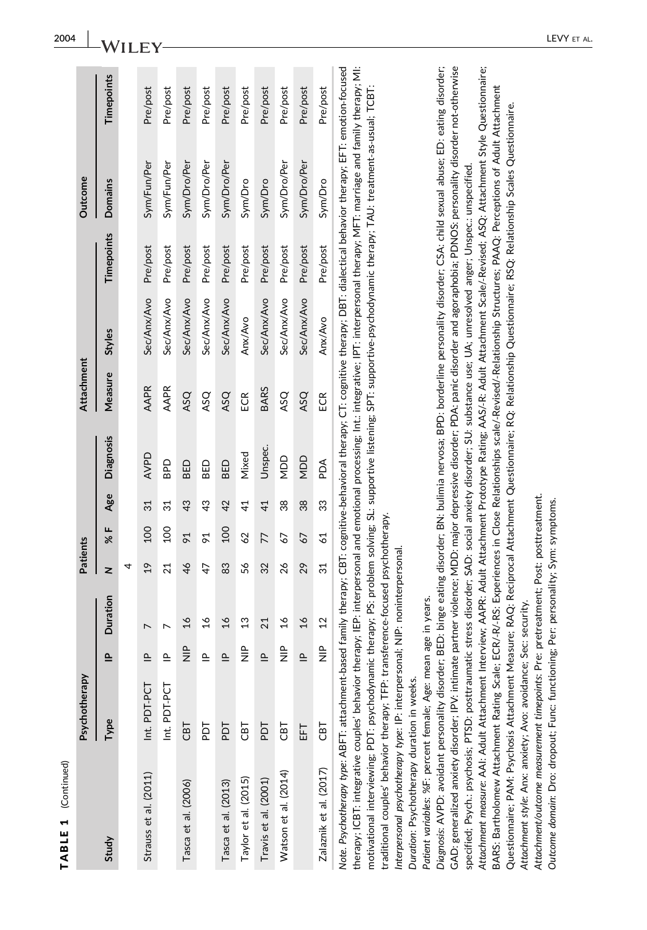|   |  | ֚֚֬ |
|---|--|-----|
| ٠ |  |     |
|   |  |     |
|   |  |     |
|   |  |     |

|                                                                                                                                                                                    | Psychotherapy |               |                | Patients        |                       |     |                  | Attachment  |             |            | Outcome        |            |
|------------------------------------------------------------------------------------------------------------------------------------------------------------------------------------|---------------|---------------|----------------|-----------------|-----------------------|-----|------------------|-------------|-------------|------------|----------------|------------|
| Study                                                                                                                                                                              | Type          | $\triangleq$  | Duration       | z               | %F                    | Age | <b>Diagnosis</b> | Measure     | Styles      | Timepoints | <b>Domains</b> | Timepoints |
|                                                                                                                                                                                    |               |               |                | 4               |                       |     |                  |             |             |            |                |            |
| Strauss et al. (2011)                                                                                                                                                              | Int. PDT-PCT  | $\triangleq$  |                | $\overline{19}$ | 100                   | 31  | <b>AVPD</b>      | AAPR        | Sec/Anx/Avo | Pre/post   | Sym/Fun/Per    | Pre/post   |
|                                                                                                                                                                                    | Int. PDT-PCT  | $\triangleq$  |                | 21              | $\overline{0}$        | 31  | <b>Od8</b>       | <b>AAPR</b> | Sec/Anx/Avo | Pre/post   | Sym/Fun/Per    | Pre/post   |
| Tasca et al. (2006)                                                                                                                                                                | ГВJ           | $\frac{a}{Z}$ | $\frac{8}{1}$  | 46              | $\overline{6}$        | 43  | BED              | ASQ         | Sec/Anx/Avo | Pre/post   | Sym/Dro/Per    | Pre/post   |
|                                                                                                                                                                                    | Гq            | $\triangleq$  | $\frac{8}{1}$  | 47              | $\tilde{\varepsilon}$ | 43  | BED              | ASQ         | Sec/Anx/Avo | Pre/post   | Sym/Dro/Per    | Pre/post   |
| Tasca et al. (2013)                                                                                                                                                                | Гq            | $\triangleq$  | $\frac{6}{1}$  | 83              | <b>SOT</b>            | 42  | BED              | ASQ         | Sec/Anx/Avo | Pre/post   | Sym/Dro/Per    | Pre/post   |
| Taylor et al. (2015)                                                                                                                                                               | 780           | $\frac{a}{Z}$ | $\frac{3}{2}$  | 56              | 62                    | 41  | Mixed            | ECR         | Anx/Avo     | Pre/post   | Sym/Dro        | Pre/post   |
| Travis et al. (2001)                                                                                                                                                               | Гq            | $\cong$       | 21             | 32              | 77                    | 41  | Unspec.          | <b>BARS</b> | Sec/Anx/Avo | Pre/post   | Sym/Dro        | Pre/post   |
| Watson et al. (2014)                                                                                                                                                               | 185           | $\frac{a}{Z}$ | $\frac{6}{1}$  | 26              | 67                    | 38  | NDD              | ASQ         | Sec/Anx/Avo | Pre/post   | Sym/Dro/Per    | Pre/post   |
|                                                                                                                                                                                    | 됴             | $\triangleq$  | $\frac{6}{1}$  | 29              | 67                    | 38  | NDD              | ASQ         | Sec/Anx/Avo | Pre/post   | Sym/Dro/Per    | Pre/post   |
| Zalaznik et al. (2017)                                                                                                                                                             | ГВJ           | $\frac{a}{Z}$ | $\overline{2}$ | 31              | $\overline{6}$        | 33  | Add              | ECR         | Anx/Avo     | Pre/post   | Sym/Dro        | Pre/post   |
| Note. Psychotherapy type: ABFT: attachment-based family therapy; CBT: cognitive-behavioral therapy; CT: cognitive therapy; DBT: dialectical behavior therapy; EFT: emotion-focused |               |               |                |                 |                       |     |                  |             |             |            |                |            |

therapy; ICBT: integrative couples' behavior therapy; IEP: interpersonal and emotional processing; Int.: integrative; IPT: interpersonal therapy; MFT: marriage and family therapy; MI: therapy; ICBT: integrative couples' behavior therapy; IEP: interpersonal and emotional processing; Int.: integrative; IPT: interpersonal therapy; MFT: marriage and family therapy; MI: motivational interviewing; PDT: psychodynamic therapy; PS: problem solving; SL: supportive listening; SPT: supportive-psychodynamic therapy; TAU: treatment-as-usual; TCBT: motivational interviewing; PDT: psychodynamic therapy; PS: problem solving; SL: supportive listening; SPT: supportive‐psychodynamic therapy; TAU: treatment‐as‐usual; TCBT: raditional couples' behavior therapy; TFP: transference-focused psychotherapy. traditional couples' behavior therapy; TFP: transference‐focused psychotherapy.

Interpersonal psychotherapy type: IP: interpersonal; NIP: noninterpersonal. Interpersonal psychotherapy type: IP: interpersonal; NIP: noninterpersonal.

Duration: Psychotherapy duration in weeks. Duration: Psychotherapy duration in weeks. Patient variables: %F: percent female; Age: mean age in years. Patient variables: %F: percent female; Age: mean age in years.

Attachment measure: AAI: Adult Attachment Interview; AAPR: Adult Attachment Prototype Rating; AAS/-R: Adult Attachment Scale/-Revised; ASQ; Attachment Style Questionnaire; Diagnosis: AVPD: avoidant personality disorder: BED: binge eating disorder: BN: bullmia nervosa: BPD: borderline personality disorder: CSA: child sexual abuse: ED: eating disorder; GAD: generalized anxiety disorder; IPV: intimate partner violence; MDD: major depressive disorder; PDA: panic disorder and agoraphobia; PDNOS: personality disorder not-otherwise Diagnosis: AVPD: avoidant personality disorder; BED: binge eating disorder; BN: bulimia nervosa; BPD: borderline personality disorder; CSA: child sexual abuse; ED: eating disorder; GAD: generalized anxiety disorder; IPV: intimate partner violence; MDD: major depressive disorder; PDA: panic disorder and agoraphobia; PDNOS: personality disorder not‐otherwise Attachment measure: AAI: Adult Attachment Interview; AAPR: Adult Attachment Prototype Rating; AAS/‐R: Adult Attachment Scale/‐Revised; ASQ: Attachment Style Questionnaire; BARS: Bartholomew Attachment Rating Scale; ECR/-R/-RS: Experiences in Close Relationships scale/-Revised/-Relationship Structures; PAAQ: Perceptions of Adult Attachment BARS: Bartholomew Attachment Rating Scale; ECR/‐R/‐RS: Experiences in Close Relationships scale/‐Revised/‐Relationship Structures; PAAQ: Perceptions of Adult Attachment Questionnaire; PAM: Psychosis Attachment Measure; RAQ; Reciprocal Attachment Questionnaire; RQ; Relationship Questionnaire; RSQ; Relationship Scales Questionnaire. Questionnaire; PAM: Psychosis Attachment Measure; RAQ: Reciprocal Attachment Questionnaire; RQ: Relationship Questionnaire; RSQ: Relationship Scales Questionnaire. specified; Psych: psychosis; PTSD: posttraumatic stress disorder; SAD: social anxiety disorder; SU: substance use; UA; unresolved anger; Unspec: unspecified. specified; Psych.: psychosis; PTSD: posttraumatic stress disorder; SAD: social anxiety disorder; SU: substance use; UA; unresolved anger; Unspec.: unspecified. Attachment style: Anx: anxiety; Avo: avoidance; Sec: security. Attachment style: Anx: anxiety; Avo: avoidance; Sec: security.

Attachment/outcome measurement timepoints: Pre: pretreatment; Post: posttreatment. Attachment/outcome measurement timepoints: Pre: pretreatment; Post: posttreatment.

Outcome domain: Dro: dropout; Func: functioning; Per: personality; Sym: symptoms. Outcome domain: Dro: dropout; Func: functioning; Per: personality; Sym: symptoms.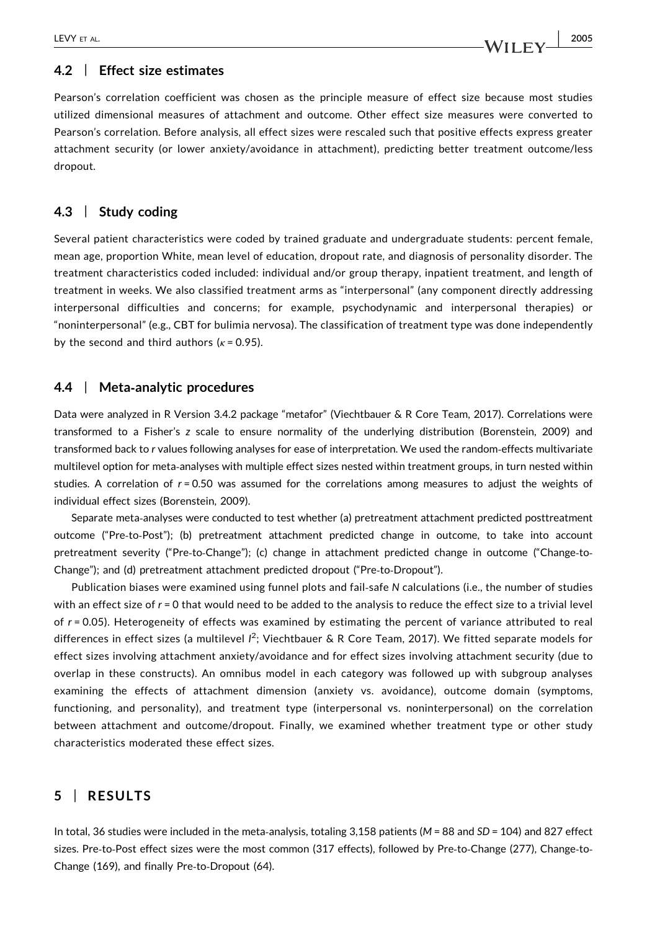#### 4.2 | Effect size estimates

Pearson's correlation coefficient was chosen as the principle measure of effect size because most studies utilized dimensional measures of attachment and outcome. Other effect size measures were converted to Pearson's correlation. Before analysis, all effect sizes were rescaled such that positive effects express greater attachment security (or lower anxiety/avoidance in attachment), predicting better treatment outcome/less dropout.

#### 4.3 | Study coding

Several patient characteristics were coded by trained graduate and undergraduate students: percent female, mean age, proportion White, mean level of education, dropout rate, and diagnosis of personality disorder. The treatment characteristics coded included: individual and/or group therapy, inpatient treatment, and length of treatment in weeks. We also classified treatment arms as "interpersonal" (any component directly addressing interpersonal difficulties and concerns; for example, psychodynamic and interpersonal therapies) or "noninterpersonal" (e.g., CBT for bulimia nervosa). The classification of treatment type was done independently by the second and third authors ( $\kappa$  = 0.95).

#### 4.4 | Meta‐analytic procedures

Data were analyzed in R Version 3.4.2 package "metafor" (Viechtbauer & R Core Team, 2017). Correlations were transformed to a Fisher's z scale to ensure normality of the underlying distribution (Borenstein, 2009) and transformed back to r values following analyses for ease of interpretation. We used the random‐effects multivariate multilevel option for meta‐analyses with multiple effect sizes nested within treatment groups, in turn nested within studies. A correlation of  $r = 0.50$  was assumed for the correlations among measures to adjust the weights of individual effect sizes (Borenstein, 2009).

Separate meta‐analyses were conducted to test whether (a) pretreatment attachment predicted posttreatment outcome ("Pre‐to‐Post"); (b) pretreatment attachment predicted change in outcome, to take into account pretreatment severity ("Pre-to-Change"); (c) change in attachment predicted change in outcome ("Change-to-Change"); and (d) pretreatment attachment predicted dropout ("Pre‐to‐Dropout").

Publication biases were examined using funnel plots and fail‐safe N calculations (i.e., the number of studies with an effect size of  $r = 0$  that would need to be added to the analysis to reduce the effect size to a trivial level of r = 0.05). Heterogeneity of effects was examined by estimating the percent of variance attributed to real differences in effect sizes (a multilevel  $l^2$ ; Viechtbauer & R Core Team, 2017). We fitted separate models for effect sizes involving attachment anxiety/avoidance and for effect sizes involving attachment security (due to overlap in these constructs). An omnibus model in each category was followed up with subgroup analyses examining the effects of attachment dimension (anxiety vs. avoidance), outcome domain (symptoms, functioning, and personality), and treatment type (interpersonal vs. noninterpersonal) on the correlation between attachment and outcome/dropout. Finally, we examined whether treatment type or other study characteristics moderated these effect sizes.

### 5 | RESULTS

In total, 36 studies were included in the meta-analysis, totaling 3,158 patients (M = 88 and SD = 104) and 827 effect sizes. Pre-to-Post effect sizes were the most common (317 effects), followed by Pre-to-Change (277), Change-to-Change (169), and finally Pre‐to‐Dropout (64).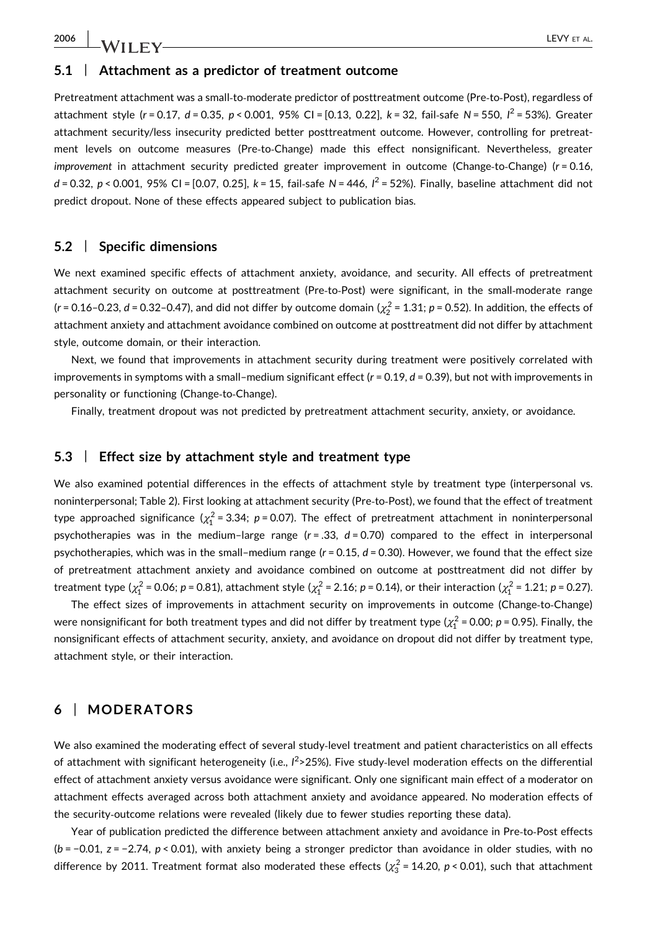2006 | **LA/IIF** V

#### 5.1 | Attachment as a predictor of treatment outcome

Pretreatment attachment was a small‐to‐moderate predictor of posttreatment outcome (Pre‐to‐Post), regardless of attachment style (r = 0.17, d = 0.35, p < 0.001, 95% CI = [0.13, 0.22], k = 32, fail-safe N = 550, l<sup>2</sup> = 53%). Greater attachment security/less insecurity predicted better posttreatment outcome. However, controlling for pretreatment levels on outcome measures (Pre-to-Change) made this effect nonsignificant. Nevertheless, greater improvement in attachment security predicted greater improvement in outcome (Change-to-Change) ( $r = 0.16$ , d = 0.32, p < 0.001, 95% CI = [0.07, 0.25],  $k = 15$ , fail-safe N = 446,  $l^2 = 52$ %). Finally, baseline attachment did not predict dropout. None of these effects appeared subject to publication bias.

#### 5.2 | Specific dimensions

We next examined specific effects of attachment anxiety, avoidance, and security. All effects of pretreatment attachment security on outcome at posttreatment (Pre-to-Post) were significant, in the small-moderate range (r = 0.16–0.23, d = 0.32–0.47), and did not differ by outcome domain ( $\chi^2$  = 1.31; p = 0.52). In addition, the effects of attachment anxiety and attachment avoidance combined on outcome at posttreatment did not differ by attachment style, outcome domain, or their interaction.

Next, we found that improvements in attachment security during treatment were positively correlated with improvements in symptoms with a small–medium significant effect ( $r = 0.19$ ,  $d = 0.39$ ), but not with improvements in personality or functioning (Change-to-Change).

Finally, treatment dropout was not predicted by pretreatment attachment security, anxiety, or avoidance.

#### 5.3 | Effect size by attachment style and treatment type

We also examined potential differences in the effects of attachment style by treatment type (interpersonal vs. noninterpersonal; Table 2). First looking at attachment security (Pre‐to‐Post), we found that the effect of treatment type approached significance ( $\chi^2_1$  = 3.34; p = 0.07). The effect of pretreatment attachment in noninterpersonal psychotherapies was in the medium-large range  $(r = .33, d = 0.70)$  compared to the effect in interpersonal psychotherapies, which was in the small–medium range  $(r = 0.15, d = 0.30)$ . However, we found that the effect size of pretreatment attachment anxiety and avoidance combined on outcome at posttreatment did not differ by treatment type ( $\chi^2_1$  = 0.06; p = 0.81), attachment style ( $\chi^2_1$  = 2.16; p = 0.14), or their interaction ( $\chi^2_1$  = 1.21; p = 0.27).

The effect sizes of improvements in attachment security on improvements in outcome (Change-to-Change) were nonsignificant for both treatment types and did not differ by treatment type ( $\chi^2_1$  = 0.00;  $p$  = 0.95). Finally, the nonsignificant effects of attachment security, anxiety, and avoidance on dropout did not differ by treatment type, attachment style, or their interaction.

#### 6 | MODERATORS

We also examined the moderating effect of several study-level treatment and patient characteristics on all effects of attachment with significant heterogeneity (i.e.,  $l^2$ >25%). Five study-level moderation effects on the differential effect of attachment anxiety versus avoidance were significant. Only one significant main effect of a moderator on attachment effects averaged across both attachment anxiety and avoidance appeared. No moderation effects of the security‐outcome relations were revealed (likely due to fewer studies reporting these data).

Year of publication predicted the difference between attachment anxiety and avoidance in Pre‐to‐Post effects  $(b = -0.01, z = -2.74, p < 0.01)$ , with anxiety being a stronger predictor than avoidance in older studies, with no difference by 2011. Treatment format also moderated these effects ( $\chi^2_3$ =14.20, p<0.01), such that attachment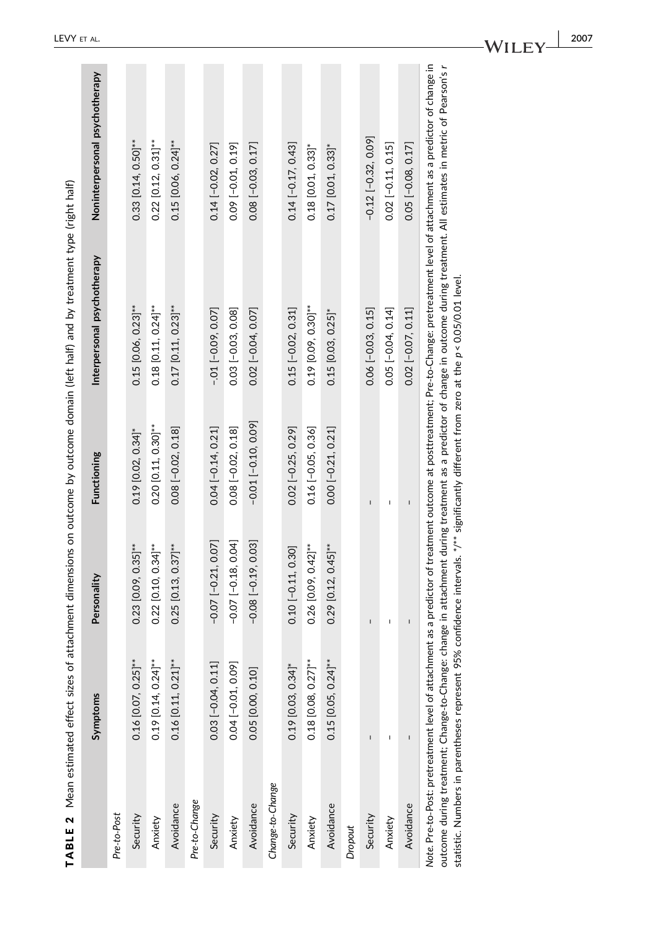| TABLE 2 Mean estimated effect sizes of                                                                                                            |                       |                                                                                           |                         | attachment dimensions on outcome by outcome domain (left half) and by treatment type (right half) |                                                                                                                                                                                                                                                                              |
|---------------------------------------------------------------------------------------------------------------------------------------------------|-----------------------|-------------------------------------------------------------------------------------------|-------------------------|---------------------------------------------------------------------------------------------------|------------------------------------------------------------------------------------------------------------------------------------------------------------------------------------------------------------------------------------------------------------------------------|
|                                                                                                                                                   | Symptoms              | Personality                                                                               | Functioning             | Interpersonal psychotherapy                                                                       | Noninterpersonal psychotherapy                                                                                                                                                                                                                                               |
| Pre-to-Post                                                                                                                                       |                       |                                                                                           |                         |                                                                                                   |                                                                                                                                                                                                                                                                              |
| Security                                                                                                                                          | $0.16$ [0.07, 0.25]** | $0.23$ [0.09, 0.35]**                                                                     | $0.19$ [0.02, 0.34]*    | $0.15$ [0.06, 0.23]**                                                                             | $0.33$ [0.14, 0.50]**                                                                                                                                                                                                                                                        |
| Anxiety                                                                                                                                           | $0.19$ [0.14, 0.24]** | $0.22$ [0.10, 0.34]**                                                                     | $0.20$ [0.11, 0.30]**   | $0.18$ $[0.11, 0.24]$ **                                                                          | $0.22$ [0.12, 0.31]**                                                                                                                                                                                                                                                        |
| Avoidance                                                                                                                                         | $0.16$ [0.11, 0.21]** | $0.25$ [0.13, 0.37]**                                                                     | $0.08$ $[-0.02, 0.18]$  | $0.17$ [0.11, 0.23]**                                                                             | $0.15$ [0.06, 0.24]**                                                                                                                                                                                                                                                        |
| Pre-to-Change                                                                                                                                     |                       |                                                                                           |                         |                                                                                                   |                                                                                                                                                                                                                                                                              |
| Security                                                                                                                                          | 0.03 [-0.04, 0.11]    | $-0.07$ $[-0.21, 0.07]$                                                                   | $0.04$ [-0.14, 0.21]    | $-0.01[-0.09, 0.07]$                                                                              | $0.14[-0.02, 0.27]$                                                                                                                                                                                                                                                          |
| Anxiety                                                                                                                                           | 0.04 [-0.01, 0.09]    | $-0.07$ $[-0.18, 0.04]$                                                                   | $0.08[-0.02, 0.18]$     | $0.03$ $[-0.03, 0.08]$                                                                            | $0.09$ [-0.01, 0.19]                                                                                                                                                                                                                                                         |
| Avoidance                                                                                                                                         | 0.05 [0.00, 0.10]     | $-0.08$ $[-0.19, 0.03]$                                                                   | $-0.01$ $[-0.10, 0.09]$ | $0.02$ $[-0.04, 0.07]$                                                                            | $0.08$ $[-0.03, 0.17]$                                                                                                                                                                                                                                                       |
| Change-to-Change                                                                                                                                  |                       |                                                                                           |                         |                                                                                                   |                                                                                                                                                                                                                                                                              |
| Security                                                                                                                                          | $0.19$ [0.03, 0.34]*  | $0.10$ $[-0.11, 0.30]$                                                                    | $0.02$ $[-0.25, 0.29]$  | $0.15[-0.02, 0.31]$                                                                               | $0.14$ $[-0.17, 0.43]$                                                                                                                                                                                                                                                       |
| Anxiety                                                                                                                                           | $0.18$ [0.08, 0.27]** | $0.26$ [0.09, 0.42]**                                                                     | $0.16[-0.05, 0.36]$     | $0.19$ [0.09, 0.30]**                                                                             | $0.18$ [0.01, 0.33]*                                                                                                                                                                                                                                                         |
| Avoidance                                                                                                                                         | $0.15$ [0.05, 0.24]** | $0.29$ [0.12, 0.45]**                                                                     | $0.00$ $[-0.21, 0.21]$  | $0.15$ [0.03, 0.25]*                                                                              | $0.17$ [0.01, 0.33]*                                                                                                                                                                                                                                                         |
| <b>Dropout</b>                                                                                                                                    |                       |                                                                                           |                         |                                                                                                   |                                                                                                                                                                                                                                                                              |
| Security                                                                                                                                          | $\sf I$               | $\mathbf{I}$                                                                              | $\overline{1}$          | $0.06$ $[-0.03, 0.15]$                                                                            | $-0.12$ $[-0.32, 0.09]$                                                                                                                                                                                                                                                      |
| Anxiety                                                                                                                                           |                       |                                                                                           |                         | $0.05$ [-0.04, 0.14]                                                                              | $0.02$ [-0.11, 0.15]                                                                                                                                                                                                                                                         |
| Avoidance                                                                                                                                         | Ĭ.                    | ï                                                                                         | I.                      | $0.02$ $[-0.07, 0.11]$                                                                            | $0.05$ [ $-0.08$ , 0.17]                                                                                                                                                                                                                                                     |
| Note. Pre-to-Post: pretreatment level of attachm<br>outcome during treatment; Change-to-Change:<br>statistic. Numbers in parentheses represent 95 |                       | % confidence intervals. */** significantly different from zero at the p < 0.05/0.01 level |                         |                                                                                                   | nent as a predictor of treatment outcome at posttreatment; Pre-to-Change: pretreatment level of attachment as a predictor of change in<br>change in attachment during treatment as a predictor of change in outcome during treatment. All estimates in metric of Pearson's r |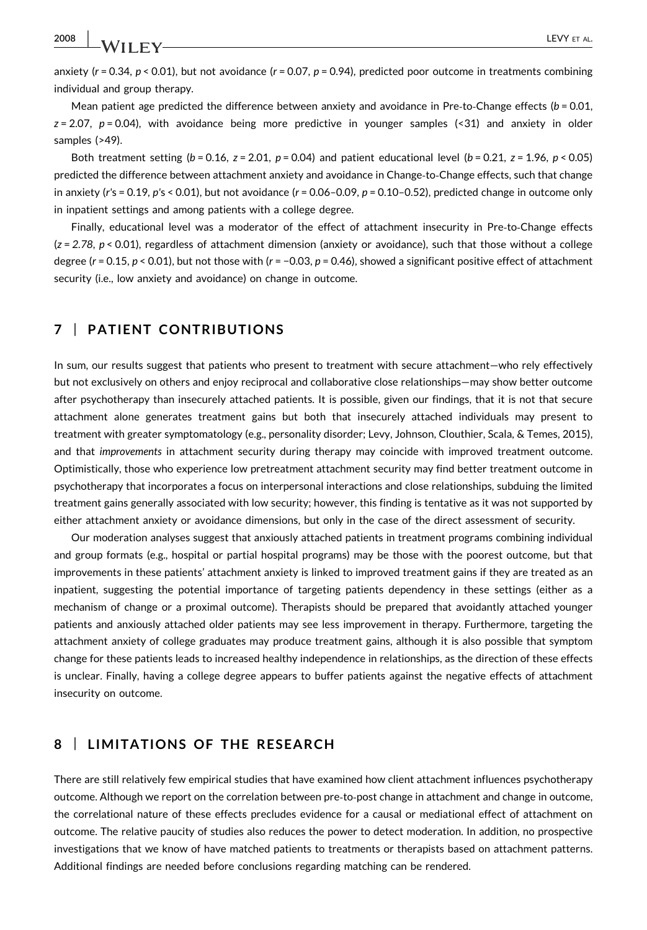2008 | **LA/IIF** V

anxiety ( $r = 0.34$ ,  $p < 0.01$ ), but not avoidance ( $r = 0.07$ ,  $p = 0.94$ ), predicted poor outcome in treatments combining individual and group therapy.

Mean patient age predicted the difference between anxiety and avoidance in Pre-to-Change effects ( $b = 0.01$ ,  $z = 2.07$ ,  $p = 0.04$ ), with avoidance being more predictive in younger samples (<31) and anxiety in older samples (>49).

Both treatment setting ( $b = 0.16$ ,  $z = 2.01$ ,  $p = 0.04$ ) and patient educational level ( $b = 0.21$ ,  $z = 1.96$ ,  $p < 0.05$ ) predicted the difference between attachment anxiety and avoidance in Change‐to‐Change effects, such that change in anxiety (r's = 0.19, p's < 0.01), but not avoidance (r = 0.06-0.09, p = 0.10-0.52), predicted change in outcome only in inpatient settings and among patients with a college degree.

Finally, educational level was a moderator of the effect of attachment insecurity in Pre-to-Change effects  $(z = 2.78, p < 0.01)$ , regardless of attachment dimension (anxiety or avoidance), such that those without a college degree ( $r = 0.15$ ,  $p < 0.01$ ), but not those with ( $r = -0.03$ ,  $p = 0.46$ ), showed a significant positive effect of attachment security (i.e., low anxiety and avoidance) on change in outcome.

### 7 | PATIENT CONTRIBUTIONS

In sum, our results suggest that patients who present to treatment with secure attachment—who rely effectively but not exclusively on others and enjoy reciprocal and collaborative close relationships—may show better outcome after psychotherapy than insecurely attached patients. It is possible, given our findings, that it is not that secure attachment alone generates treatment gains but both that insecurely attached individuals may present to treatment with greater symptomatology (e.g., personality disorder; Levy, Johnson, Clouthier, Scala, & Temes, 2015), and that improvements in attachment security during therapy may coincide with improved treatment outcome. Optimistically, those who experience low pretreatment attachment security may find better treatment outcome in psychotherapy that incorporates a focus on interpersonal interactions and close relationships, subduing the limited treatment gains generally associated with low security; however, this finding is tentative as it was not supported by either attachment anxiety or avoidance dimensions, but only in the case of the direct assessment of security.

Our moderation analyses suggest that anxiously attached patients in treatment programs combining individual and group formats (e.g., hospital or partial hospital programs) may be those with the poorest outcome, but that improvements in these patients' attachment anxiety is linked to improved treatment gains if they are treated as an inpatient, suggesting the potential importance of targeting patients dependency in these settings (either as a mechanism of change or a proximal outcome). Therapists should be prepared that avoidantly attached younger patients and anxiously attached older patients may see less improvement in therapy. Furthermore, targeting the attachment anxiety of college graduates may produce treatment gains, although it is also possible that symptom change for these patients leads to increased healthy independence in relationships, as the direction of these effects is unclear. Finally, having a college degree appears to buffer patients against the negative effects of attachment insecurity on outcome.

### 8 | LIMITATIONS OF THE RESEARCH

There are still relatively few empirical studies that have examined how client attachment influences psychotherapy outcome. Although we report on the correlation between pre‐to‐post change in attachment and change in outcome, the correlational nature of these effects precludes evidence for a causal or mediational effect of attachment on outcome. The relative paucity of studies also reduces the power to detect moderation. In addition, no prospective investigations that we know of have matched patients to treatments or therapists based on attachment patterns. Additional findings are needed before conclusions regarding matching can be rendered.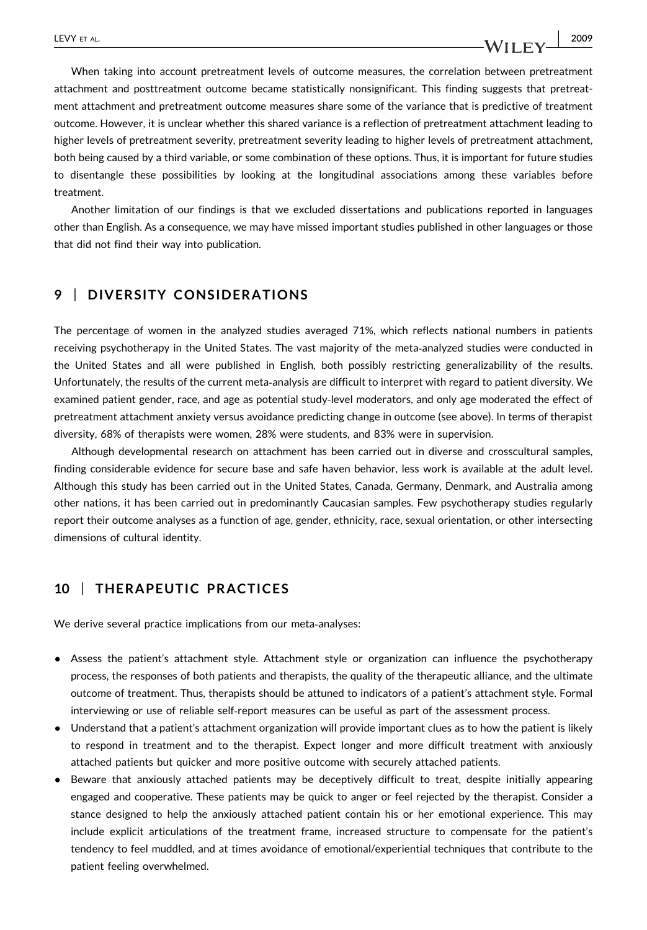When taking into account pretreatment levels of outcome measures, the correlation between pretreatment attachment and posttreatment outcome became statistically nonsignificant. This finding suggests that pretreatment attachment and pretreatment outcome measures share some of the variance that is predictive of treatment outcome. However, it is unclear whether this shared variance is a reflection of pretreatment attachment leading to higher levels of pretreatment severity, pretreatment severity leading to higher levels of pretreatment attachment, both being caused by a third variable, or some combination of these options. Thus, it is important for future studies to disentangle these possibilities by looking at the longitudinal associations among these variables before treatment.

Another limitation of our findings is that we excluded dissertations and publications reported in languages other than English. As a consequence, we may have missed important studies published in other languages or those that did not find their way into publication.

#### 9 | DIVERSITY CONSIDERATIONS

The percentage of women in the analyzed studies averaged 71%, which reflects national numbers in patients receiving psychotherapy in the United States. The vast majority of the meta‐analyzed studies were conducted in the United States and all were published in English, both possibly restricting generalizability of the results. Unfortunately, the results of the current meta‐analysis are difficult to interpret with regard to patient diversity. We examined patient gender, race, and age as potential study‐level moderators, and only age moderated the effect of pretreatment attachment anxiety versus avoidance predicting change in outcome (see above). In terms of therapist diversity, 68% of therapists were women, 28% were students, and 83% were in supervision.

Although developmental research on attachment has been carried out in diverse and crosscultural samples, finding considerable evidence for secure base and safe haven behavior, less work is available at the adult level. Although this study has been carried out in the United States, Canada, Germany, Denmark, and Australia among other nations, it has been carried out in predominantly Caucasian samples. Few psychotherapy studies regularly report their outcome analyses as a function of age, gender, ethnicity, race, sexual orientation, or other intersecting dimensions of cultural identity.

### 10 | THERAPEUTIC PRACTICES

We derive several practice implications from our meta-analyses:

- Assess the patient's attachment style. Attachment style or organization can influence the psychotherapy process, the responses of both patients and therapists, the quality of the therapeutic alliance, and the ultimate outcome of treatment. Thus, therapists should be attuned to indicators of a patient's attachment style. Formal interviewing or use of reliable self‐report measures can be useful as part of the assessment process.
- Understand that a patient's attachment organization will provide important clues as to how the patient is likely to respond in treatment and to the therapist. Expect longer and more difficult treatment with anxiously attached patients but quicker and more positive outcome with securely attached patients.
- Beware that anxiously attached patients may be deceptively difficult to treat, despite initially appearing engaged and cooperative. These patients may be quick to anger or feel rejected by the therapist. Consider a stance designed to help the anxiously attached patient contain his or her emotional experience. This may include explicit articulations of the treatment frame, increased structure to compensate for the patient's tendency to feel muddled, and at times avoidance of emotional/experiential techniques that contribute to the patient feeling overwhelmed.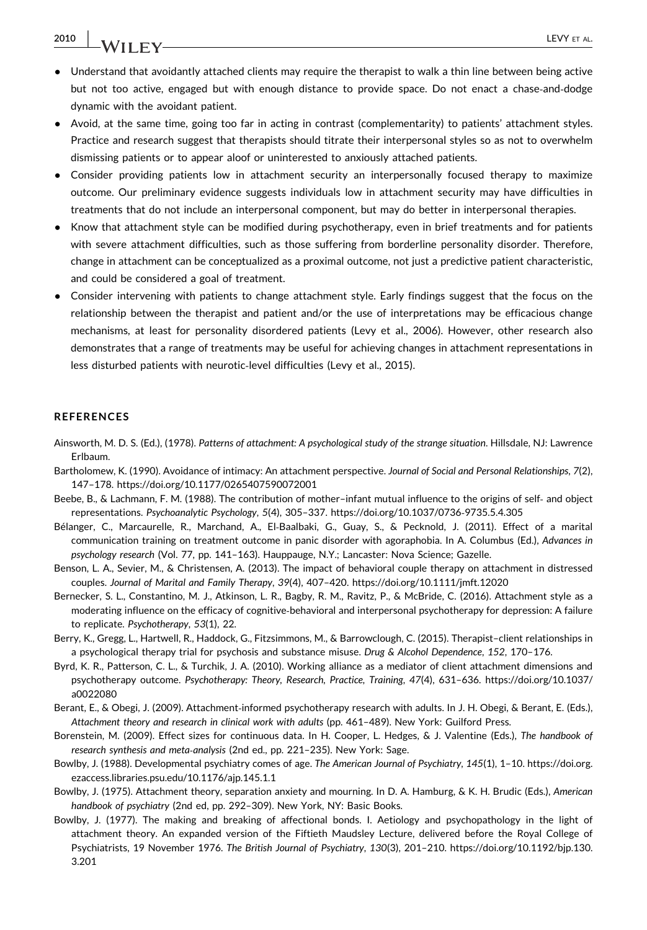## 2010 | **JA/IIFV**

- Understand that avoidantly attached clients may require the therapist to walk a thin line between being active but not too active, engaged but with enough distance to provide space. Do not enact a chase‐and‐dodge dynamic with the avoidant patient.
- Avoid, at the same time, going too far in acting in contrast (complementarity) to patients' attachment styles. Practice and research suggest that therapists should titrate their interpersonal styles so as not to overwhelm dismissing patients or to appear aloof or uninterested to anxiously attached patients.
- Consider providing patients low in attachment security an interpersonally focused therapy to maximize outcome. Our preliminary evidence suggests individuals low in attachment security may have difficulties in treatments that do not include an interpersonal component, but may do better in interpersonal therapies.
- Know that attachment style can be modified during psychotherapy, even in brief treatments and for patients with severe attachment difficulties, such as those suffering from borderline personality disorder. Therefore, change in attachment can be conceptualized as a proximal outcome, not just a predictive patient characteristic, and could be considered a goal of treatment.
- Consider intervening with patients to change attachment style. Early findings suggest that the focus on the relationship between the therapist and patient and/or the use of interpretations may be efficacious change mechanisms, at least for personality disordered patients (Levy et al., 2006). However, other research also demonstrates that a range of treatments may be useful for achieving changes in attachment representations in less disturbed patients with neurotic‐level difficulties (Levy et al., 2015).

#### **REFERENCES**

- Ainsworth, M. D. S. (Ed.), (1978). Patterns of attachment: A psychological study of the strange situation. Hillsdale, NJ: Lawrence Erlbaum.
- Bartholomew, K. (1990). Avoidance of intimacy: An attachment perspective. Journal of Social and Personal Relationships, 7(2), 147–178.<https://doi.org/10.1177/0265407590072001>
- Beebe, B., & Lachmann, F. M. (1988). The contribution of mother–infant mutual influence to the origins of self‐ and object representations. Psychoanalytic Psychology, 5(4), 305–337. [https://doi.org/10.1037/0736](https://doi.org/10.1037/0736-9735.5.4.305)‐9735.5.4.305
- Bélanger, C., Marcaurelle, R., Marchand, A., El‐Baalbaki, G., Guay, S., & Pecknold, J. (2011). Effect of a marital communication training on treatment outcome in panic disorder with agoraphobia. In A. Columbus (Ed.), Advances in psychology research (Vol. 77, pp. 141–163). Hauppauge, N.Y.; Lancaster: Nova Science; Gazelle.
- Benson, L. A., Sevier, M., & Christensen, A. (2013). The impact of behavioral couple therapy on attachment in distressed couples. Journal of Marital and Family Therapy, 39(4), 407–420.<https://doi.org/10.1111/jmft.12020>
- Bernecker, S. L., Constantino, M. J., Atkinson, L. R., Bagby, R. M., Ravitz, P., & McBride, C. (2016). Attachment style as a moderating influence on the efficacy of cognitive-behavioral and interpersonal psychotherapy for depression: A failure to replicate. Psychotherapy, 53(1), 22.
- Berry, K., Gregg, L., Hartwell, R., Haddock, G., Fitzsimmons, M., & Barrowclough, C. (2015). Therapist–client relationships in a psychological therapy trial for psychosis and substance misuse. Drug & Alcohol Dependence, 152, 170–176.
- Byrd, K. R., Patterson, C. L., & Turchik, J. A. (2010). Working alliance as a mediator of client attachment dimensions and psychotherapy outcome. Psychotherapy: Theory, Research, Practice, Training, 47(4), 631–636. [https://doi.org/10.1037/](https://doi.org/10.1037/a0022080) [a0022080](https://doi.org/10.1037/a0022080)
- Berant, E., & Obegi, J. (2009). Attachment‐informed psychotherapy research with adults. In J. H. Obegi, & Berant, E. (Eds.), Attachment theory and research in clinical work with adults (pp. 461–489). New York: Guilford Press.
- Borenstein, M. (2009). Effect sizes for continuous data. In H. Cooper, L. Hedges, & J. Valentine (Eds.), The handbook of research synthesis and meta‐analysis (2nd ed., pp. 221–235). New York: Sage.
- Bowlby, J. (1988). Developmental psychiatry comes of age. The American Journal of Psychiatry, 145(1), 1–10. [https://doi.org.](https://doi.org.ezaccess.libraries.psu.edu/10.1176/ajp.145.1.1) [ezaccess.libraries.psu.edu/10.1176/ajp.145.1.1](https://doi.org.ezaccess.libraries.psu.edu/10.1176/ajp.145.1.1)
- Bowlby, J. (1975). Attachment theory, separation anxiety and mourning. In D. A. Hamburg, & K. H. Brudic (Eds.), American handbook of psychiatry (2nd ed, pp. 292–309). New York, NY: Basic Books.
- Bowlby, J. (1977). The making and breaking of affectional bonds. I. Aetiology and psychopathology in the light of attachment theory. An expanded version of the Fiftieth Maudsley Lecture, delivered before the Royal College of Psychiatrists, 19 November 1976. The British Journal of Psychiatry, 130(3), 201–210. [https://doi.org/10.1192/bjp.130.](https://doi.org/10.1192/bjp.130.3.201) [3.201](https://doi.org/10.1192/bjp.130.3.201)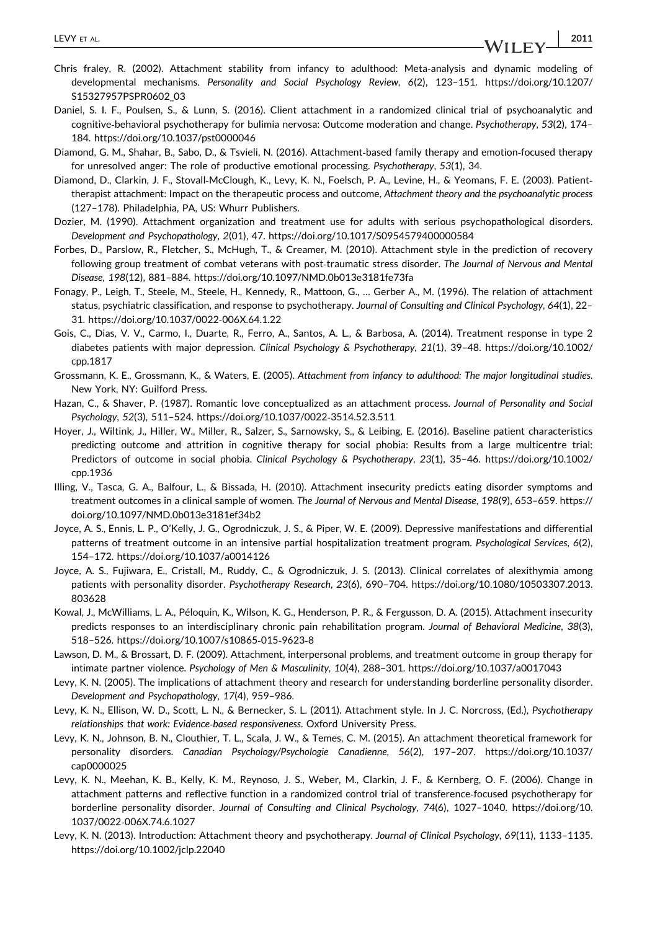- Chris fraley, R. (2002). Attachment stability from infancy to adulthood: Meta‐analysis and dynamic modeling of developmental mechanisms. Personality and Social Psychology Review, 6(2), 123–151. [https://doi.org/10.1207/](https://doi.org/10.1207/S15327957PSPR0602_03) [S15327957PSPR0602\\_03](https://doi.org/10.1207/S15327957PSPR0602_03)
- Daniel, S. I. F., Poulsen, S., & Lunn, S. (2016). Client attachment in a randomized clinical trial of psychoanalytic and cognitive‐behavioral psychotherapy for bulimia nervosa: Outcome moderation and change. Psychotherapy, 53(2), 174– 184.<https://doi.org/10.1037/pst0000046>
- Diamond, G. M., Shahar, B., Sabo, D., & Tsvieli, N. (2016). Attachment‐based family therapy and emotion‐focused therapy for unresolved anger: The role of productive emotional processing. Psychotherapy, 53(1), 34.
- Diamond, D., Clarkin, J. F., Stovall‐McClough, K., Levy, K. N., Foelsch, P. A., Levine, H., & Yeomans, F. E. (2003). Patient‐ therapist attachment: Impact on the therapeutic process and outcome, Attachment theory and the psychoanalytic process (127–178). Philadelphia, PA, US: Whurr Publishers.
- Dozier, M. (1990). Attachment organization and treatment use for adults with serious psychopathological disorders. Development and Psychopathology, 2(01), 47.<https://doi.org/10.1017/S0954579400000584>
- Forbes, D., Parslow, R., Fletcher, S., McHugh, T., & Creamer, M. (2010). Attachment style in the prediction of recovery following group treatment of combat veterans with post-traumatic stress disorder. The Journal of Nervous and Mental Disease, 198(12), 881–884.<https://doi.org/10.1097/NMD.0b013e3181fe73fa>
- Fonagy, P., Leigh, T., Steele, M., Steele, H., Kennedy, R., Mattoon, G., … Gerber A., M. (1996). The relation of attachment status, psychiatric classification, and response to psychotherapy. Journal of Consulting and Clinical Psychology, 64(1), 22– 31. [https://doi.org/10.1037/0022](https://doi.org/10.1037/0022-006X.64.1.22)‐006X.64.1.22
- Gois, C., Dias, V. V., Carmo, I., Duarte, R., Ferro, A., Santos, A. L., & Barbosa, A. (2014). Treatment response in type 2 diabetes patients with major depression. Clinical Psychology & Psychotherapy, 21(1), 39-48. [https://doi.org/10.1002/](https://doi.org/10.1002/cpp.1817) [cpp.1817](https://doi.org/10.1002/cpp.1817)
- Grossmann, K. E., Grossmann, K., & Waters, E. (2005). Attachment from infancy to adulthood: The major longitudinal studies. New York, NY: Guilford Press.
- Hazan, C., & Shaver, P. (1987). Romantic love conceptualized as an attachment process. Journal of Personality and Social Psychology, 52(3), 511–524. [https://doi.org/10.1037/0022](https://doi.org/10.1037/0022-3514.52.3.511)‐3514.52.3.511
- Hoyer, J., Wiltink, J., Hiller, W., Miller, R., Salzer, S., Sarnowsky, S., & Leibing, E. (2016). Baseline patient characteristics predicting outcome and attrition in cognitive therapy for social phobia: Results from a large multicentre trial: Predictors of outcome in social phobia. Clinical Psychology & Psychotherapy, 23(1), 35–46. [https://doi.org/10.1002/](https://doi.org/10.1002/cpp.1936) [cpp.1936](https://doi.org/10.1002/cpp.1936)
- Illing, V., Tasca, G. A., Balfour, L., & Bissada, H. (2010). Attachment insecurity predicts eating disorder symptoms and treatment outcomes in a clinical sample of women. The Journal of Nervous and Mental Disease, 198(9), 653–659. [https://](https://doi.org/10.1097/NMD.0b013e3181ef34b2) [doi.org/10.1097/NMD.0b013e3181ef34b2](https://doi.org/10.1097/NMD.0b013e3181ef34b2)
- Joyce, A. S., Ennis, L. P., O'Kelly, J. G., Ogrodniczuk, J. S., & Piper, W. E. (2009). Depressive manifestations and differential patterns of treatment outcome in an intensive partial hospitalization treatment program. Psychological Services, 6(2), 154–172.<https://doi.org/10.1037/a0014126>
- Joyce, A. S., Fujiwara, E., Cristall, M., Ruddy, C., & Ogrodniczuk, J. S. (2013). Clinical correlates of alexithymia among patients with personality disorder. Psychotherapy Research, 23(6), 690–704. [https://doi.org/10.1080/10503307.2013.](https://doi.org/10.1080/10503307.2013.803628) [803628](https://doi.org/10.1080/10503307.2013.803628)
- Kowal, J., McWilliams, L. A., Péloquin, K., Wilson, K. G., Henderson, P. R., & Fergusson, D. A. (2015). Attachment insecurity predicts responses to an interdisciplinary chronic pain rehabilitation program. Journal of Behavioral Medicine, 38(3), 518–526. [https://doi.org/10.1007/s10865](https://doi.org/10.1007/s10865-015-9623-8)‐015‐9623‐8
- Lawson, D. M., & Brossart, D. F. (2009). Attachment, interpersonal problems, and treatment outcome in group therapy for intimate partner violence. Psychology of Men & Masculinity, 10(4), 288–301.<https://doi.org/10.1037/a0017043>
- Levy, K. N. (2005). The implications of attachment theory and research for understanding borderline personality disorder. Development and Psychopathology, 17(4), 959–986.
- Levy, K. N., Ellison, W. D., Scott, L. N., & Bernecker, S. L. (2011). Attachment style. In J. C. Norcross, (Ed.), Psychotherapy relationships that work: Evidence‐based responsiveness. Oxford University Press.
- Levy, K. N., Johnson, B. N., Clouthier, T. L., Scala, J. W., & Temes, C. M. (2015). An attachment theoretical framework for personality disorders. Canadian Psychology/Psychologie Canadienne, 56(2), 197–207. [https://doi.org/10.1037/](https://doi.org/10.1037/cap0000025) [cap0000025](https://doi.org/10.1037/cap0000025)
- Levy, K. N., Meehan, K. B., Kelly, K. M., Reynoso, J. S., Weber, M., Clarkin, J. F., & Kernberg, O. F. (2006). Change in attachment patterns and reflective function in a randomized control trial of transference‐focused psychotherapy for borderline personality disorder. Journal of Consulting and Clinical Psychology, 74(6), 1027–1040. [https://doi.org/10.](https://doi.org/10.1037/0022-006X.74.6.1027) 1037/0022‐[006X.74.6.1027](https://doi.org/10.1037/0022-006X.74.6.1027)
- Levy, K. N. (2013). Introduction: Attachment theory and psychotherapy. Journal of Clinical Psychology, 69(11), 1133–1135. <https://doi.org/10.1002/jclp.22040>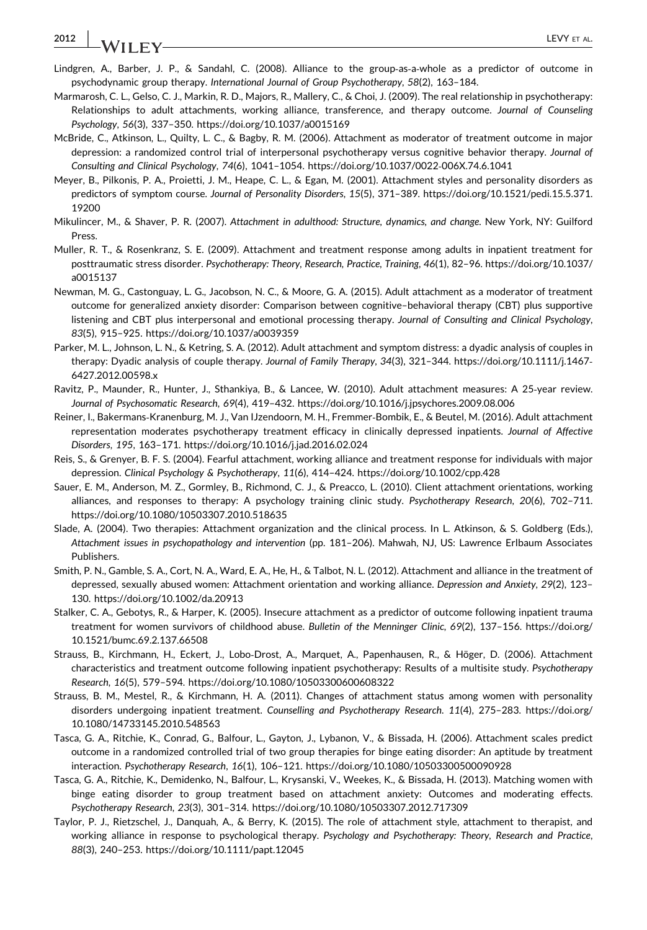### 2012 | **JA/II EV**

- Lindgren, A., Barber, J. P., & Sandahl, C. (2008). Alliance to the group-as-a-whole as a predictor of outcome in psychodynamic group therapy. International Journal of Group Psychotherapy, 58(2), 163–184.
- Marmarosh, C. L., Gelso, C. J., Markin, R. D., Majors, R., Mallery, C., & Choi, J. (2009). The real relationship in psychotherapy: Relationships to adult attachments, working alliance, transference, and therapy outcome. Journal of Counseling Psychology, 56(3), 337–350.<https://doi.org/10.1037/a0015169>
- McBride, C., Atkinson, L., Quilty, L. C., & Bagby, R. M. (2006). Attachment as moderator of treatment outcome in major depression: a randomized control trial of interpersonal psychotherapy versus cognitive behavior therapy. Journal of Consulting and Clinical Psychology, 74(6), 1041–1054. [https://doi.org/10.1037/0022](https://doi.org/10.1037/0022-006X.74.6.1041)‐006X.74.6.1041
- Meyer, B., Pilkonis, P. A., Proietti, J. M., Heape, C. L., & Egan, M. (2001). Attachment styles and personality disorders as predictors of symptom course. Journal of Personality Disorders, 15(5), 371–389. [https://doi.org/10.1521/pedi.15.5.371.](https://doi.org/10.1521/pedi.15.5.371.19200) [19200](https://doi.org/10.1521/pedi.15.5.371.19200)
- Mikulincer, M., & Shaver, P. R. (2007). Attachment in adulthood: Structure, dynamics, and change. New York, NY: Guilford Press.
- Muller, R. T., & Rosenkranz, S. E. (2009). Attachment and treatment response among adults in inpatient treatment for posttraumatic stress disorder. Psychotherapy: Theory, Research, Practice, Training, 46(1), 82–96. [https://doi.org/10.1037/](https://doi.org/10.1037/a0015137) [a0015137](https://doi.org/10.1037/a0015137)
- Newman, M. G., Castonguay, L. G., Jacobson, N. C., & Moore, G. A. (2015). Adult attachment as a moderator of treatment outcome for generalized anxiety disorder: Comparison between cognitive–behavioral therapy (CBT) plus supportive listening and CBT plus interpersonal and emotional processing therapy. Journal of Consulting and Clinical Psychology, 83(5), 915–925.<https://doi.org/10.1037/a0039359>
- Parker, M. L., Johnson, L. N., & Ketring, S. A. (2012). Adult attachment and symptom distress: a dyadic analysis of couples in therapy: Dyadic analysis of couple therapy. Journal of Family Therapy, 34(3), 321–344. [https://doi.org/10.1111/j.1467](https://doi.org/10.1111/j.1467-6427.2012.00598.x)‐ [6427.2012.00598.x](https://doi.org/10.1111/j.1467-6427.2012.00598.x)
- Ravitz, P., Maunder, R., Hunter, J., Sthankiya, B., & Lancee, W. (2010). Adult attachment measures: A 25‐year review. Journal of Psychosomatic Research, 69(4), 419–432.<https://doi.org/10.1016/j.jpsychores.2009.08.006>
- Reiner, I., Bakermans‐Kranenburg, M. J., Van IJzendoorn, M. H., Fremmer‐Bombik, E., & Beutel, M. (2016). Adult attachment representation moderates psychotherapy treatment efficacy in clinically depressed inpatients. Journal of Affective Disorders, 195, 163–171.<https://doi.org/10.1016/j.jad.2016.02.024>
- Reis, S., & Grenyer, B. F. S. (2004). Fearful attachment, working alliance and treatment response for individuals with major depression. Clinical Psychology & Psychotherapy, 11(6), 414–424.<https://doi.org/10.1002/cpp.428>
- Sauer, E. M., Anderson, M. Z., Gormley, B., Richmond, C. J., & Preacco, L. (2010). Client attachment orientations, working alliances, and responses to therapy: A psychology training clinic study. Psychotherapy Research, 20(6), 702–711. <https://doi.org/10.1080/10503307.2010.518635>
- Slade, A. (2004). Two therapies: Attachment organization and the clinical process. In L. Atkinson, & S. Goldberg (Eds.), Attachment issues in psychopathology and intervention (pp. 181–206). Mahwah, NJ, US: Lawrence Erlbaum Associates Publishers.
- Smith, P. N., Gamble, S. A., Cort, N. A., Ward, E. A., He, H., & Talbot, N. L. (2012). Attachment and alliance in the treatment of depressed, sexually abused women: Attachment orientation and working alliance. Depression and Anxiety, 29(2), 123– 130.<https://doi.org/10.1002/da.20913>
- Stalker, C. A., Gebotys, R., & Harper, K. (2005). Insecure attachment as a predictor of outcome following inpatient trauma treatment for women survivors of childhood abuse. Bulletin of the Menninger Clinic, 69(2), 137–156. [https://doi.org/](https://doi.org/10.1521/bumc.69.2.137.66508) [10.1521/bumc.69.2.137.66508](https://doi.org/10.1521/bumc.69.2.137.66508)
- Strauss, B., Kirchmann, H., Eckert, J., Lobo‐Drost, A., Marquet, A., Papenhausen, R., & Höger, D. (2006). Attachment characteristics and treatment outcome following inpatient psychotherapy: Results of a multisite study. Psychotherapy Research, 16(5), 579–594.<https://doi.org/10.1080/10503300600608322>
- Strauss, B. M., Mestel, R., & Kirchmann, H. A. (2011). Changes of attachment status among women with personality disorders undergoing inpatient treatment. Counselling and Psychotherapy Research. 11(4), 275–283. [https://doi.org/](https://doi.org/10.1080/14733145.2010.548563) [10.1080/14733145.2010.548563](https://doi.org/10.1080/14733145.2010.548563)
- Tasca, G. A., Ritchie, K., Conrad, G., Balfour, L., Gayton, J., Lybanon, V., & Bissada, H. (2006). Attachment scales predict outcome in a randomized controlled trial of two group therapies for binge eating disorder: An aptitude by treatment interaction. Psychotherapy Research, 16(1), 106–121.<https://doi.org/10.1080/10503300500090928>
- Tasca, G. A., Ritchie, K., Demidenko, N., Balfour, L., Krysanski, V., Weekes, K., & Bissada, H. (2013). Matching women with binge eating disorder to group treatment based on attachment anxiety: Outcomes and moderating effects. Psychotherapy Research, 23(3), 301–314.<https://doi.org/10.1080/10503307.2012.717309>
- Taylor, P. J., Rietzschel, J., Danquah, A., & Berry, K. (2015). The role of attachment style, attachment to therapist, and working alliance in response to psychological therapy. Psychology and Psychotherapy: Theory, Research and Practice, 88(3), 240–253.<https://doi.org/10.1111/papt.12045>